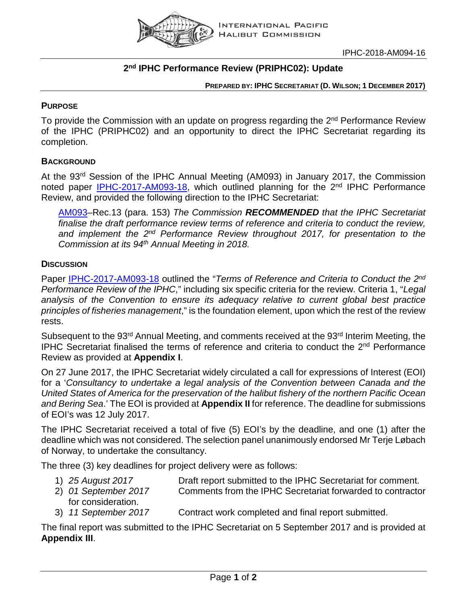

# **2nd IPHC Performance Review (PRIPHC02): Update**

**PREPARED BY: IPHC SECRETARIAT (D. WILSON; 1 DECEMBER 2017)**

# **PURPOSE**

To provide the Commission with an update on progress regarding the 2<sup>nd</sup> Performance Review of the IPHC (PRIPHC02) and an opportunity to direct the IPHC Secretariat regarding its completion.

# **BACKGROUND**

At the 93rd Session of the IPHC Annual Meeting (AM093) in January 2017, the Commission noted paper [IPHC-2017-AM093-18,](http://iphc.int/meetings/2017am/IPHC-2017-AM093-18.pdf) which outlined planning for the 2<sup>nd</sup> IPHC Performance Review, and provided the following direction to the IPHC Secretariat:

[AM093–](http://iphc.int/meetings/2017am/IPHC-2017-AM093-R-Report_of_the_AM093.pdf)Rec.13 (para. 153) *The Commission RECOMMENDED that the IPHC Secretariat finalise the draft performance review terms of reference and criteria to conduct the review, and implement the 2nd Performance Review throughout 2017, for presentation to the Commission at its 94th Annual Meeting in 2018.*

# **DISCUSSION**

Paper [IPHC-2017-AM093-18](http://iphc.int/meetings/2017am/IPHC-2017-AM093-18.pdf) outlined the "*Terms of Reference and Criteria to Conduct the 2nd Performance Review of the IPHC*," including six specific criteria for the review. Criteria 1, "*Legal analysis of the Convention to ensure its adequacy relative to current global best practice principles of fisheries management*," is the foundation element, upon which the rest of the review rests.

Subsequent to the 93<sup>rd</sup> Annual Meeting, and comments received at the 93<sup>rd</sup> Interim Meeting, the IPHC Secretariat finalised the terms of reference and criteria to conduct the 2<sup>nd</sup> Performance Review as provided at **Appendix I**.

On 27 June 2017, the IPHC Secretariat widely circulated a call for expressions of Interest (EOI) for a '*Consultancy to undertake a legal analysis of the Convention between Canada and the United States of America for the preservation of the halibut fishery of the northern Pacific Ocean and Bering Sea*.' The EOI is provided at **Appendix II** for reference. The deadline for submissions of EOI's was 12 July 2017.

The IPHC Secretariat received a total of five (5) EOI's by the deadline, and one (1) after the deadline which was not considered. The selection panel unanimously endorsed Mr Terje Løbach of Norway, to undertake the consultancy.

The three (3) key deadlines for project delivery were as follows:

- 
- 1) *25 August 2017* Draft report submitted to the IPHC Secretariat for comment. 2) *01 September 2017* Comments from the IPHC Secretariat forwarded to contractor for consideration.
- 3) *11 September 2017* Contract work completed and final report submitted.

The final report was submitted to the IPHC Secretariat on 5 September 2017 and is provided at **Appendix III**.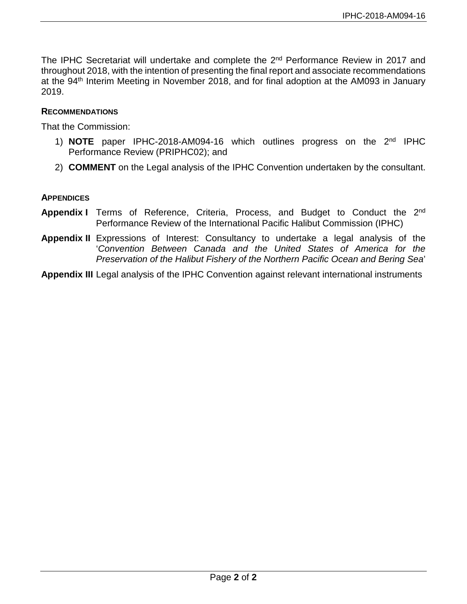The IPHC Secretariat will undertake and complete the 2<sup>nd</sup> Performance Review in 2017 and throughout 2018, with the intention of presenting the final report and associate recommendations at the 94<sup>th</sup> Interim Meeting in November 2018, and for final adoption at the AM093 in January 2019.

# **RECOMMENDATIONS**

That the Commission:

- 1) **NOTE** paper IPHC-2018-AM094-16 which outlines progress on the 2nd IPHC Performance Review (PRIPHC02); and
- 2) **COMMENT** on the Legal analysis of the IPHC Convention undertaken by the consultant.

### **APPENDICES**

- **Appendix I** Terms of Reference, Criteria, Process, and Budget to Conduct the 2<sup>nd</sup> Performance Review of the International Pacific Halibut Commission (IPHC)
- **Appendix II** Expressions of Interest: Consultancy to undertake a legal analysis of the '*Convention Between Canada and the United States of America for the Preservation of the Halibut Fishery of the Northern Pacific Ocean and Bering Sea*'

**Appendix III** Legal analysis of the IPHC Convention against relevant international instruments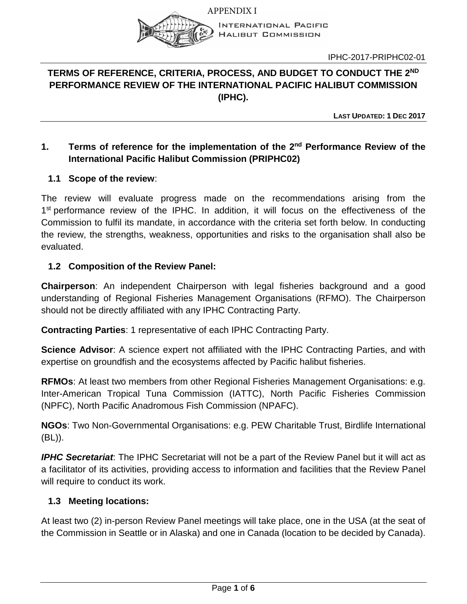

**INTERNATIONAL PACIFIC HALIBUT COMMISSION** 

IPHC-2017-PRIPHC02-01

# **TERMS OF REFERENCE, CRITERIA, PROCESS, AND BUDGET TO CONDUCT THE 2ND PERFORMANCE REVIEW OF THE INTERNATIONAL PACIFIC HALIBUT COMMISSION (IPHC).**

**LAST UPDATED: 1 DEC 2017**

# **1. Terms of reference for the implementation of the 2nd Performance Review of the International Pacific Halibut Commission (PRIPHC02)**

# **1.1 Scope of the review**:

The review will evaluate progress made on the recommendations arising from the 1<sup>st</sup> performance review of the IPHC. In addition, it will focus on the effectiveness of the Commission to fulfil its mandate, in accordance with the criteria set forth below. In conducting the review, the strengths, weakness, opportunities and risks to the organisation shall also be evaluated.

# **1.2 Composition of the Review Panel:**

**Chairperson**: An independent Chairperson with legal fisheries background and a good understanding of Regional Fisheries Management Organisations (RFMO). The Chairperson should not be directly affiliated with any IPHC Contracting Party.

**Contracting Parties**: 1 representative of each IPHC Contracting Party.

**Science Advisor**: A science expert not affiliated with the IPHC Contracting Parties, and with expertise on groundfish and the ecosystems affected by Pacific halibut fisheries.

**RFMOs**: At least two members from other Regional Fisheries Management Organisations: e.g. Inter-American Tropical Tuna Commission (IATTC), North Pacific Fisheries Commission (NPFC), North Pacific Anadromous Fish Commission (NPAFC).

**NGOs**: Two Non-Governmental Organisations: e.g. PEW Charitable Trust, Birdlife International (BL)).

*IPHC Secretariat*: The IPHC Secretariat will not be a part of the Review Panel but it will act as a facilitator of its activities, providing access to information and facilities that the Review Panel will require to conduct its work.

# **1.3 Meeting locations:**

At least two (2) in-person Review Panel meetings will take place, one in the USA (at the seat of the Commission in Seattle or in Alaska) and one in Canada (location to be decided by Canada).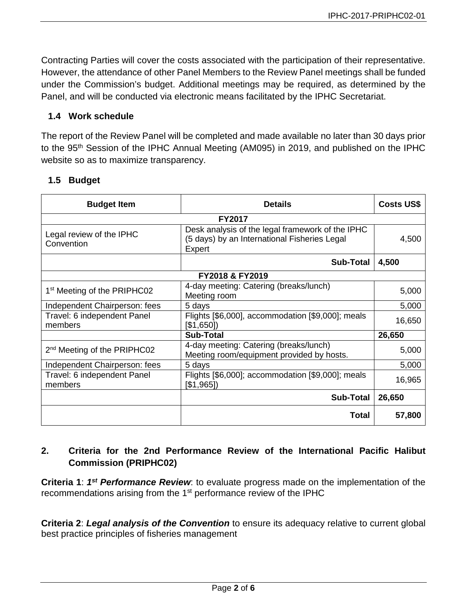Contracting Parties will cover the costs associated with the participation of their representative. However, the attendance of other Panel Members to the Review Panel meetings shall be funded under the Commission's budget. Additional meetings may be required, as determined by the Panel, and will be conducted via electronic means facilitated by the IPHC Secretariat.

# **1.4 Work schedule**

The report of the Review Panel will be completed and made available no later than 30 days prior to the 95<sup>th</sup> Session of the IPHC Annual Meeting (AM095) in 2019, and published on the IPHC website so as to maximize transparency.

# **1.5 Budget**

| <b>Budget Item</b>                      | <b>Details</b>                                                                                             | <b>Costs US\$</b> |
|-----------------------------------------|------------------------------------------------------------------------------------------------------------|-------------------|
| <b>FY2017</b>                           |                                                                                                            |                   |
| Legal review of the IPHC<br>Convention  | Desk analysis of the legal framework of the IPHC<br>(5 days) by an International Fisheries Legal<br>Expert | 4,500             |
|                                         | <b>Sub-Total</b>                                                                                           | 4,500             |
| FY2018 & FY2019                         |                                                                                                            |                   |
| 1 <sup>st</sup> Meeting of the PRIPHC02 | 4-day meeting: Catering (breaks/lunch)<br>Meeting room                                                     | 5,000             |
| Independent Chairperson: fees           | 5 days                                                                                                     | 5,000             |
| Travel: 6 independent Panel<br>members  | Flights [\$6,000], accommodation [\$9,000]; meals<br>[\$1,650]                                             | 16,650            |
|                                         | <b>Sub-Total</b>                                                                                           | 26,650            |
| 2 <sup>nd</sup> Meeting of the PRIPHC02 | 4-day meeting: Catering (breaks/lunch)<br>Meeting room/equipment provided by hosts.                        | 5,000             |
| Independent Chairperson: fees           | 5 days                                                                                                     | 5,000             |
| Travel: 6 independent Panel<br>members  | Flights [\$6,000]; accommodation [\$9,000]; meals<br>[\$1,965]                                             | 16,965            |
|                                         | <b>Sub-Total</b>                                                                                           | 26,650            |
|                                         | Total                                                                                                      | 57,800            |

# **2. Criteria for the 2nd Performance Review of the International Pacific Halibut Commission (PRIPHC02)**

**Criteria 1**: *1st Performance Review*: to evaluate progress made on the implementation of the recommendations arising from the 1<sup>st</sup> performance review of the IPHC

**Criteria 2**: *Legal analysis of the Convention* to ensure its adequacy relative to current global best practice principles of fisheries management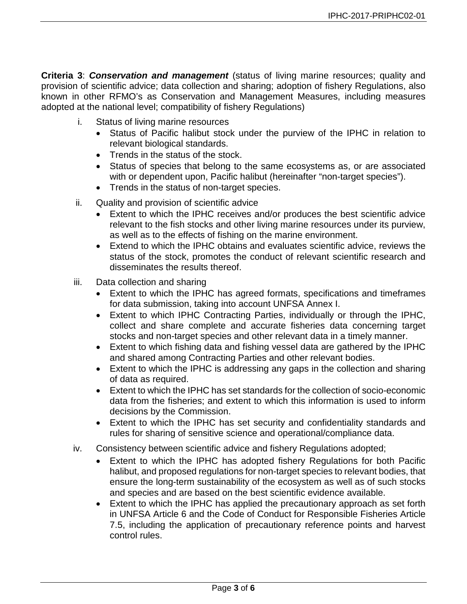**Criteria 3**: *Conservation and management* (status of living marine resources; quality and provision of scientific advice; data collection and sharing; adoption of fishery Regulations, also known in other RFMO's as Conservation and Management Measures, including measures adopted at the national level; compatibility of fishery Regulations)

- i. Status of living marine resources
	- Status of Pacific halibut stock under the purview of the IPHC in relation to relevant biological standards.
	- Trends in the status of the stock.
	- Status of species that belong to the same ecosystems as, or are associated with or dependent upon, Pacific halibut (hereinafter "non-target species").
	- Trends in the status of non-target species.
- ii. Quality and provision of scientific advice
	- Extent to which the IPHC receives and/or produces the best scientific advice relevant to the fish stocks and other living marine resources under its purview, as well as to the effects of fishing on the marine environment.
	- Extend to which the IPHC obtains and evaluates scientific advice, reviews the status of the stock, promotes the conduct of relevant scientific research and disseminates the results thereof.
- iii. Data collection and sharing
	- Extent to which the IPHC has agreed formats, specifications and timeframes for data submission, taking into account UNFSA Annex I.
	- Extent to which IPHC Contracting Parties, individually or through the IPHC, collect and share complete and accurate fisheries data concerning target stocks and non-target species and other relevant data in a timely manner.
	- Extent to which fishing data and fishing vessel data are gathered by the IPHC and shared among Contracting Parties and other relevant bodies.
	- Extent to which the IPHC is addressing any gaps in the collection and sharing of data as required.
	- Extent to which the IPHC has set standards for the collection of socio-economic data from the fisheries; and extent to which this information is used to inform decisions by the Commission.
	- Extent to which the IPHC has set security and confidentiality standards and rules for sharing of sensitive science and operational/compliance data.
- iv. Consistency between scientific advice and fishery Regulations adopted;
	- Extent to which the IPHC has adopted fishery Regulations for both Pacific halibut, and proposed regulations for non-target species to relevant bodies, that ensure the long-term sustainability of the ecosystem as well as of such stocks and species and are based on the best scientific evidence available.
	- Extent to which the IPHC has applied the precautionary approach as set forth in UNFSA Article 6 and the Code of Conduct for Responsible Fisheries Article 7.5, including the application of precautionary reference points and harvest control rules.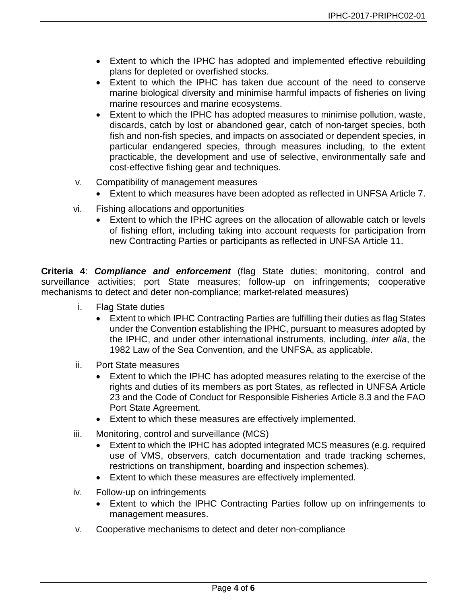- Extent to which the IPHC has adopted and implemented effective rebuilding plans for depleted or overfished stocks.
- Extent to which the IPHC has taken due account of the need to conserve marine biological diversity and minimise harmful impacts of fisheries on living marine resources and marine ecosystems.
- Extent to which the IPHC has adopted measures to minimise pollution, waste, discards, catch by lost or abandoned gear, catch of non-target species, both fish and non-fish species, and impacts on associated or dependent species, in particular endangered species, through measures including, to the extent practicable, the development and use of selective, environmentally safe and cost-effective fishing gear and techniques.
- v. Compatibility of management measures
	- Extent to which measures have been adopted as reflected in UNFSA Article 7.
- vi. Fishing allocations and opportunities
	- Extent to which the IPHC agrees on the allocation of allowable catch or levels of fishing effort, including taking into account requests for participation from new Contracting Parties or participants as reflected in UNFSA Article 11.

**Criteria 4**: *Compliance and enforcement* (flag State duties; monitoring, control and surveillance activities; port State measures; follow-up on infringements; cooperative mechanisms to detect and deter non-compliance; market-related measures)

- i. Flag State duties
	- Extent to which IPHC Contracting Parties are fulfilling their duties as flag States under the Convention establishing the IPHC, pursuant to measures adopted by the IPHC, and under other international instruments, including, *inter alia*, the 1982 Law of the Sea Convention, and the UNFSA, as applicable.
- ii. Port State measures
	- Extent to which the IPHC has adopted measures relating to the exercise of the rights and duties of its members as port States, as reflected in UNFSA Article 23 and the Code of Conduct for Responsible Fisheries Article 8.3 and the FAO Port State Agreement.
	- Extent to which these measures are effectively implemented.
- iii. Monitoring, control and surveillance (MCS)
	- Extent to which the IPHC has adopted integrated MCS measures (e.g. required use of VMS, observers, catch documentation and trade tracking schemes, restrictions on transhipment, boarding and inspection schemes).
	- Extent to which these measures are effectively implemented.
- iv. Follow-up on infringements
	- Extent to which the IPHC Contracting Parties follow up on infringements to management measures.
- v. Cooperative mechanisms to detect and deter non-compliance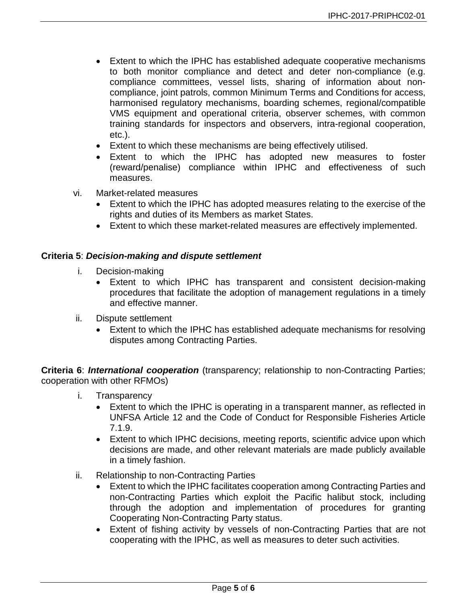- Extent to which the IPHC has established adequate cooperative mechanisms to both monitor compliance and detect and deter non-compliance (e.g. compliance committees, vessel lists, sharing of information about noncompliance, joint patrols, common Minimum Terms and Conditions for access, harmonised regulatory mechanisms, boarding schemes, regional/compatible VMS equipment and operational criteria, observer schemes, with common training standards for inspectors and observers, intra-regional cooperation, etc.).
- Extent to which these mechanisms are being effectively utilised.
- Extent to which the IPHC has adopted new measures to foster (reward/penalise) compliance within IPHC and effectiveness of such measures.
- vi. Market-related measures
	- Extent to which the IPHC has adopted measures relating to the exercise of the rights and duties of its Members as market States.
	- Extent to which these market-related measures are effectively implemented.

# **Criteria 5**: *Decision-making and dispute settlement*

- i. Decision-making
	- Extent to which IPHC has transparent and consistent decision-making procedures that facilitate the adoption of management regulations in a timely and effective manner.
- ii. Dispute settlement
	- Extent to which the IPHC has established adequate mechanisms for resolving disputes among Contracting Parties.

**Criteria 6**: *International cooperation* (transparency; relationship to non-Contracting Parties; cooperation with other RFMOs)

- i. Transparency
	- Extent to which the IPHC is operating in a transparent manner, as reflected in UNFSA Article 12 and the Code of Conduct for Responsible Fisheries Article 7.1.9.
	- Extent to which IPHC decisions, meeting reports, scientific advice upon which decisions are made, and other relevant materials are made publicly available in a timely fashion.
- ii. Relationship to non-Contracting Parties
	- Extent to which the IPHC facilitates cooperation among Contracting Parties and non-Contracting Parties which exploit the Pacific halibut stock, including through the adoption and implementation of procedures for granting Cooperating Non-Contracting Party status.
	- Extent of fishing activity by vessels of non-Contracting Parties that are not cooperating with the IPHC, as well as measures to deter such activities.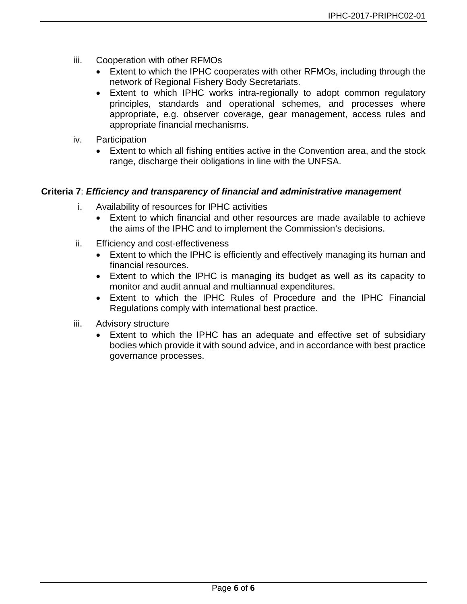- iii. Cooperation with other RFMOs
	- Extent to which the IPHC cooperates with other RFMOs, including through the network of Regional Fishery Body Secretariats.
	- Extent to which IPHC works intra-regionally to adopt common regulatory principles, standards and operational schemes, and processes where appropriate, e.g. observer coverage, gear management, access rules and appropriate financial mechanisms.
- iv. Participation
	- Extent to which all fishing entities active in the Convention area, and the stock range, discharge their obligations in line with the UNFSA.

# **Criteria 7**: *Efficiency and transparency of financial and administrative management*

- i. Availability of resources for IPHC activities
	- Extent to which financial and other resources are made available to achieve the aims of the IPHC and to implement the Commission's decisions.
- ii. Efficiency and cost-effectiveness
	- Extent to which the IPHC is efficiently and effectively managing its human and financial resources.
	- Extent to which the IPHC is managing its budget as well as its capacity to monitor and audit annual and multiannual expenditures.
	- Extent to which the IPHC Rules of Procedure and the IPHC Financial Regulations comply with international best practice.
- iii. Advisory structure
	- Extent to which the IPHC has an adequate and effective set of subsidiary bodies which provide it with sound advice, and in accordance with best practice governance processes.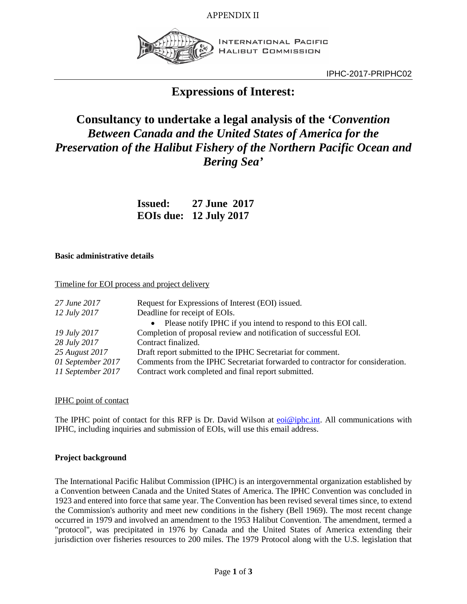APPENDIX II



INTERNATIONAL PACIFIC **HALIBUT COMMISSION** 

IPHC-2017-PRIPHC02

# **Expressions of Interest:**

# **Consultancy to undertake a legal analysis of the '***Convention Between Canada and the United States of America for the Preservation of the Halibut Fishery of the Northern Pacific Ocean and Bering Sea'*

| <b>Issued:</b> | 27 June 2017                  |
|----------------|-------------------------------|
|                | <b>EOIs due: 12 July 2017</b> |

#### **Basic administrative details**

#### Timeline for EOI process and project delivery

| 27 June 2017<br>12 July 2017           | Request for Expressions of Interest (EOI) issued.<br>Deadline for receipt of EOIs.                                                   |
|----------------------------------------|--------------------------------------------------------------------------------------------------------------------------------------|
|                                        | • Please notify IPHC if you intend to respond to this EOI call.                                                                      |
| 19 July 2017                           | Completion of proposal review and notification of successful EOI.                                                                    |
| 28 July 2017                           | Contract finalized.                                                                                                                  |
| 25 August 2017                         | Draft report submitted to the IPHC Secretariat for comment.                                                                          |
| 01 September 2017<br>11 September 2017 | Comments from the IPHC Secretariat forwarded to contractor for consideration.<br>Contract work completed and final report submitted. |

#### IPHC point of contact

The IPHC point of contact for this RFP is Dr. David Wilson at [eoi@iphc.int.](mailto:eoi@iphc.int) All communications with IPHC, including inquiries and submission of EOIs, will use this email address.

#### **Project background**

The International Pacific Halibut Commission (IPHC) is an intergovernmental organization established by a Convention between Canada and the United States of America. The IPHC Convention was concluded in 1923 and entered into force that same year. The Convention has been revised several times since, to extend the Commission's authority and meet new conditions in the fishery (Bell 1969). The most recent change occurred in 1979 and involved an amendment to the 1953 Halibut Convention. The amendment, termed a "protocol", was precipitated in 1976 by Canada and the United States of America extending their jurisdiction over fisheries resources to 200 miles. The 1979 Protocol along with the U.S. legislation that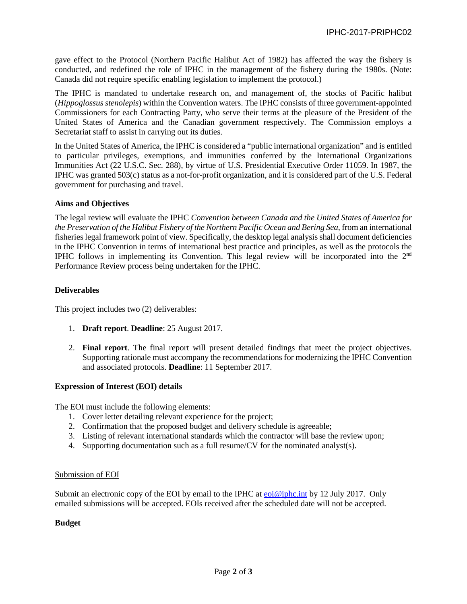gave effect to the Protocol (Northern Pacific Halibut Act of 1982) has affected the way the fishery is conducted, and redefined the role of IPHC in the management of the fishery during the 1980s. (Note: Canada did not require specific enabling legislation to implement the protocol.)

The IPHC is mandated to undertake research on, and management of, the stocks of Pacific halibut (*Hippoglossus stenolepis*) within the Convention waters. The IPHC consists of three government-appointed Commissioners for each Contracting Party, who serve their terms at the pleasure of the President of the United States of America and the Canadian government respectively. The Commission employs a Secretariat staff to assist in carrying out its duties.

In the United States of America, the IPHC is considered a "public international organization" and is entitled to particular privileges, exemptions, and immunities conferred by the International Organizations Immunities Act (22 U.S.C. Sec. 288), by virtue of U.S. Presidential Executive Order 11059. In 1987, the IPHC was granted 503(c) status as a not-for-profit organization, and it is considered part of the U.S. Federal government for purchasing and travel.

#### **Aims and Objectives**

The legal review will evaluate the IPHC *Convention between Canada and the United States of America for the Preservation of the Halibut Fishery of the Northern Pacific Ocean and Bering Sea*, from an international fisheries legal framework point of view. Specifically, the desktop legal analysis shall document deficiencies in the IPHC Convention in terms of international best practice and principles, as well as the protocols the IPHC follows in implementing its Convention. This legal review will be incorporated into the 2nd Performance Review process being undertaken for the IPHC.

#### **Deliverables**

This project includes two (2) deliverables:

- 1. **Draft report**. **Deadline**: 25 August 2017.
- 2. **Final report**. The final report will present detailed findings that meet the project objectives. Supporting rationale must accompany the recommendations for modernizing the IPHC Convention and associated protocols. **Deadline**: 11 September 2017.

#### **Expression of Interest (EOI) details**

The EOI must include the following elements:

- 1. Cover letter detailing relevant experience for the project;
- 2. Confirmation that the proposed budget and delivery schedule is agreeable;
- 3. Listing of relevant international standards which the contractor will base the review upon;
- 4. Supporting documentation such as a full resume/CV for the nominated analyst(s).

#### Submission of EOI

Submit an electronic copy of the EOI by email to the IPHC at  $eoi@iphc.int$  by 12 July 2017. Only emailed submissions will be accepted. EOIs received after the scheduled date will not be accepted.

#### **Budget**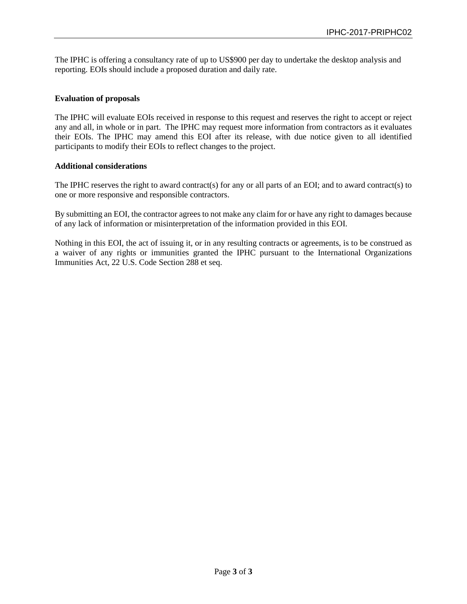The IPHC is offering a consultancy rate of up to US\$900 per day to undertake the desktop analysis and reporting. EOIs should include a proposed duration and daily rate.

#### **Evaluation of proposals**

The IPHC will evaluate EOIs received in response to this request and reserves the right to accept or reject any and all, in whole or in part. The IPHC may request more information from contractors as it evaluates their EOIs. The IPHC may amend this EOI after its release, with due notice given to all identified participants to modify their EOIs to reflect changes to the project.

#### **Additional considerations**

The IPHC reserves the right to award contract(s) for any or all parts of an EOI; and to award contract(s) to one or more responsive and responsible contractors.

By submitting an EOI, the contractor agrees to not make any claim for or have any right to damages because of any lack of information or misinterpretation of the information provided in this EOI.

Nothing in this EOI, the act of issuing it, or in any resulting contracts or agreements, is to be construed as a waiver of any rights or immunities granted the IPHC pursuant to the International Organizations Immunities Act, 22 U.S. Code Section 288 et seq.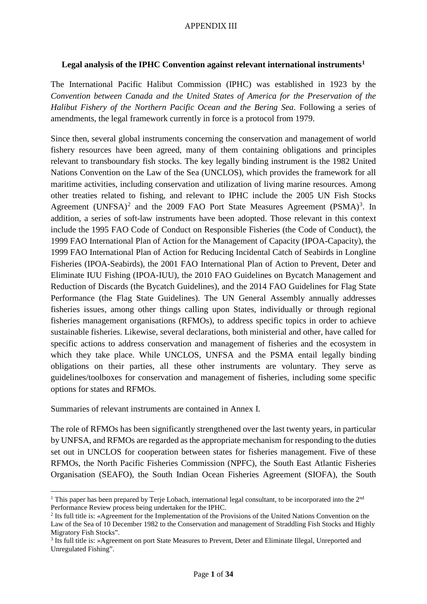#### APPENDIX III

#### **Legal analysis of the IPHC Convention against relevant international instruments[1](#page-11-0)**

The International Pacific Halibut Commission (IPHC) was established in 1923 by the *Convention between Canada and the United States of America for the Preservation of the Halibut Fishery of the Northern Pacific Ocean and the Bering Sea*. Following a series of amendments, the legal framework currently in force is a protocol from 1979.

Since then, several global instruments concerning the conservation and management of world fishery resources have been agreed, many of them containing obligations and principles relevant to transboundary fish stocks. The key legally binding instrument is the 1982 United Nations Convention on the Law of the Sea (UNCLOS), which provides the framework for all maritime activities, including conservation and utilization of living marine resources. Among other treaties related to fishing, and relevant to IPHC include the 2005 UN Fish Stocks Agreement (UNFSA)<sup>[2](#page-11-1)</sup> and the 2009 FAO Port State Measures Agreement (PSMA)<sup>[3](#page-11-2)</sup>. In addition, a series of soft-law instruments have been adopted. Those relevant in this context include the 1995 FAO Code of Conduct on Responsible Fisheries (the Code of Conduct), the 1999 FAO International Plan of Action for the Management of Capacity (IPOA-Capacity), the 1999 FAO International Plan of Action for Reducing Incidental Catch of Seabirds in Longline Fisheries (IPOA-Seabirds), the 2001 FAO International Plan of Action to Prevent, Deter and Eliminate IUU Fishing (IPOA-IUU), the 2010 FAO Guidelines on Bycatch Management and Reduction of Discards (the Bycatch Guidelines), and the 2014 FAO Guidelines for Flag State Performance (the Flag State Guidelines). The UN General Assembly annually addresses fisheries issues, among other things calling upon States, individually or through regional fisheries management organisations (RFMOs), to address specific topics in order to achieve sustainable fisheries. Likewise, several declarations, both ministerial and other, have called for specific actions to address conservation and management of fisheries and the ecosystem in which they take place. While UNCLOS, UNFSA and the PSMA entail legally binding obligations on their parties, all these other instruments are voluntary. They serve as guidelines/toolboxes for conservation and management of fisheries, including some specific options for states and RFMOs.

Summaries of relevant instruments are contained in Annex I.

The role of RFMOs has been significantly strengthened over the last twenty years, in particular by UNFSA, and RFMOs are regarded as the appropriate mechanism for responding to the duties set out in UNCLOS for cooperation between states for fisheries management. Five of these RFMOs, the North Pacific Fisheries Commission (NPFC), the South East Atlantic Fisheries Organisation (SEAFO), the South Indian Ocean Fisheries Agreement (SIOFA), the South

<span id="page-11-0"></span><sup>&</sup>lt;sup>1</sup> This paper has been prepared by Terje Lobach, international legal consultant, to be incorporated into the  $2<sup>nd</sup>$  Performance Review process being undertaken for the IPHC.

<span id="page-11-1"></span><sup>&</sup>lt;sup>2</sup> Its full title is: «Agreement for the Implementation of the Provisions of the United Nations Convention on the Law of the Sea of 10 December 1982 to the Conservation and management of Straddling Fish Stocks and Highly Migratory Fish Stocks".

<span id="page-11-2"></span><sup>3</sup> Its full title is: »Agreement on port State Measures to Prevent, Deter and Eliminate Illegal, Unreported and Unregulated Fishing".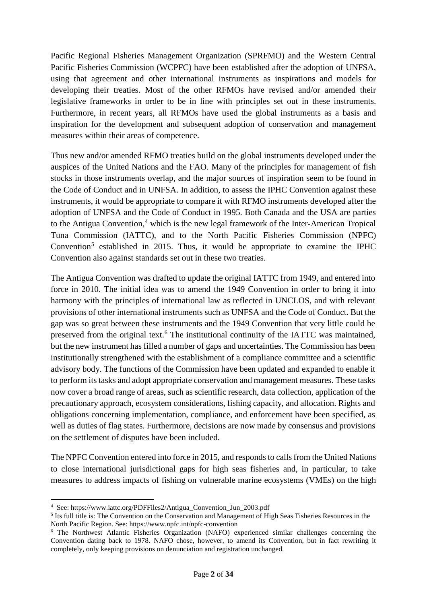Pacific Regional Fisheries Management Organization (SPRFMO) and the Western Central Pacific Fisheries Commission (WCPFC) have been established after the adoption of UNFSA, using that agreement and other international instruments as inspirations and models for developing their treaties. Most of the other RFMOs have revised and/or amended their legislative frameworks in order to be in line with principles set out in these instruments. Furthermore, in recent years, all RFMOs have used the global instruments as a basis and inspiration for the development and subsequent adoption of conservation and management measures within their areas of competence.

Thus new and/or amended RFMO treaties build on the global instruments developed under the auspices of the United Nations and the FAO. Many of the principles for management of fish stocks in those instruments overlap, and the major sources of inspiration seem to be found in the Code of Conduct and in UNFSA. In addition, to assess the IPHC Convention against these instruments, it would be appropriate to compare it with RFMO instruments developed after the adoption of UNFSA and the Code of Conduct in 1995. Both Canada and the USA are parties to the Antigua Convention,<sup>[4](#page-12-0)</sup> which is the new legal framework of the Inter-American Tropical Tuna Commission (IATTC), and to the North Pacific Fisheries Commission (NPFC) Convention<sup>[5](#page-12-1)</sup> established in 2015. Thus, it would be appropriate to examine the IPHC Convention also against standards set out in these two treaties.

The Antigua Convention was drafted to update the original IATTC from 1949, and entered into force in 2010. The initial idea was to amend the 1949 Convention in order to bring it into harmony with the principles of international law as reflected in UNCLOS, and with relevant provisions of other international instruments such as UNFSA and the Code of Conduct. But the gap was so great between these instruments and the 1949 Convention that very little could be preserved from the original text.<sup>[6](#page-12-2)</sup> The institutional continuity of the IATTC was maintained, but the new instrument has filled a number of gaps and uncertainties. The Commission has been institutionally strengthened with the establishment of a compliance committee and a scientific advisory body. The functions of the Commission have been updated and expanded to enable it to perform its tasks and adopt appropriate conservation and management measures. These tasks now cover a broad range of areas, such as scientific research, data collection, application of the precautionary approach, ecosystem considerations, fishing capacity, and allocation. Rights and obligations concerning implementation, compliance, and enforcement have been specified, as well as duties of flag states. Furthermore, decisions are now made by consensus and provisions on the settlement of disputes have been included.

The NPFC Convention entered into force in 2015, and responds to calls from the United Nations to close international jurisdictional gaps for high seas fisheries and, in particular, to take measures to address impacts of fishing on vulnerable marine ecosystems (VMEs) on the high

<sup>4</sup> See: https://www.iattc.org/PDFFiles2/Antigua\_Convention\_Jun\_2003.pdf

<span id="page-12-1"></span><span id="page-12-0"></span><sup>5</sup> Its full title is: The Convention on the Conservation and Management of High Seas Fisheries Resources in the North Pacific Region. See: https://www.npfc.int/npfc-convention

<span id="page-12-2"></span><sup>&</sup>lt;sup>6</sup> The Northwest Atlantic Fisheries Organization (NAFO) experienced similar challenges concerning the Convention dating back to 1978. NAFO chose, however, to amend its Convention, but in fact rewriting it completely, only keeping provisions on denunciation and registration unchanged.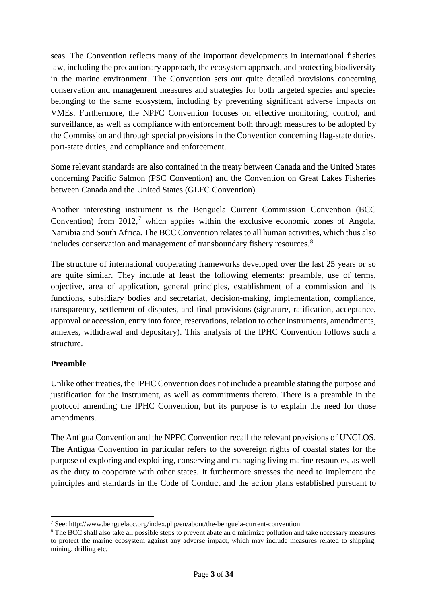seas. The Convention reflects many of the important developments in international fisheries law, including the precautionary approach, the ecosystem approach, and protecting biodiversity in the marine environment. The Convention sets out quite detailed provisions concerning conservation and management measures and strategies for both targeted species and species belonging to the same ecosystem, including by preventing significant adverse impacts on VMEs. Furthermore, the NPFC Convention focuses on effective monitoring, control, and surveillance, as well as compliance with enforcement both through measures to be adopted by the Commission and through special provisions in the Convention concerning flag-state duties, port-state duties, and compliance and enforcement.

Some relevant standards are also contained in the treaty between Canada and the United States concerning Pacific Salmon (PSC Convention) and the Convention on Great Lakes Fisheries between Canada and the United States (GLFC Convention).

Another interesting instrument is the Benguela Current Commission Convention (BCC Convention) from  $2012$ ,<sup>[7](#page-13-0)</sup> which applies within the exclusive economic zones of Angola, Namibia and South Africa. The BCC Convention relates to all human activities, which thus also includes conservation and management of transboundary fishery resources.<sup>[8](#page-13-1)</sup>

The structure of international cooperating frameworks developed over the last 25 years or so are quite similar. They include at least the following elements: preamble, use of terms, objective, area of application, general principles, establishment of a commission and its functions, subsidiary bodies and secretariat, decision-making, implementation, compliance, transparency, settlement of disputes, and final provisions (signature, ratification, acceptance, approval or accession, entry into force, reservations, relation to other instruments, amendments, annexes, withdrawal and depositary). This analysis of the IPHC Convention follows such a structure.

# **Preamble**

Unlike other treaties, the IPHC Convention does not include a preamble stating the purpose and justification for the instrument, as well as commitments thereto. There is a preamble in the protocol amending the IPHC Convention, but its purpose is to explain the need for those amendments.

The Antigua Convention and the NPFC Convention recall the relevant provisions of UNCLOS. The Antigua Convention in particular refers to the sovereign rights of coastal states for the purpose of exploring and exploiting, conserving and managing living marine resources, as well as the duty to cooperate with other states. It furthermore stresses the need to implement the principles and standards in the Code of Conduct and the action plans established pursuant to

<span id="page-13-1"></span><span id="page-13-0"></span><sup>7</sup> See: http://www.benguelacc.org/index.php/en/about/the-benguela-current-convention

<span id="page-13-2"></span><sup>8</sup> The BCC shall also take all possible steps to prevent abate an d minimize pollution and take necessary measures to protect the marine ecosystem against any adverse impact, which may include measures related to shipping, mining, drilling etc.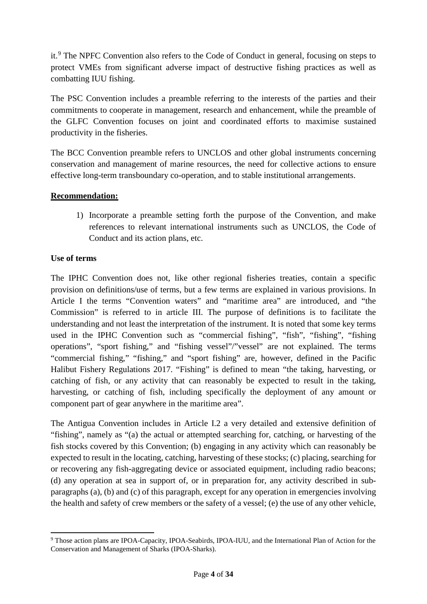it.<sup>[9](#page-13-2)</sup> The NPFC Convention also refers to the Code of Conduct in general, focusing on steps to protect VMEs from significant adverse impact of destructive fishing practices as well as combatting IUU fishing.

The PSC Convention includes a preamble referring to the interests of the parties and their commitments to cooperate in management, research and enhancement, while the preamble of the GLFC Convention focuses on joint and coordinated efforts to maximise sustained productivity in the fisheries.

The BCC Convention preamble refers to UNCLOS and other global instruments concerning conservation and management of marine resources, the need for collective actions to ensure effective long-term transboundary co-operation, and to stable institutional arrangements.

# **Recommendation:**

1) Incorporate a preamble setting forth the purpose of the Convention, and make references to relevant international instruments such as UNCLOS, the Code of Conduct and its action plans, etc.

# **Use of terms**

The IPHC Convention does not, like other regional fisheries treaties, contain a specific provision on definitions/use of terms, but a few terms are explained in various provisions. In Article I the terms "Convention waters" and "maritime area" are introduced, and "the Commission" is referred to in article III. The purpose of definitions is to facilitate the understanding and not least the interpretation of the instrument. It is noted that some key terms used in the IPHC Convention such as "commercial fishing", "fish", "fishing", "fishing operations", "sport fishing," and "fishing vessel"/"vessel" are not explained. The terms "commercial fishing," "fishing," and "sport fishing" are, however, defined in the Pacific Halibut Fishery Regulations 2017. "Fishing" is defined to mean "the taking, harvesting, or catching of fish, or any activity that can reasonably be expected to result in the taking, harvesting, or catching of fish, including specifically the deployment of any amount or component part of gear anywhere in the maritime area".

The Antigua Convention includes in Article I.2 a very detailed and extensive definition of "fishing", namely as "(a) the actual or attempted searching for, catching, or harvesting of the fish stocks covered by this Convention; (b) engaging in any activity which can reasonably be expected to result in the locating, catching, harvesting of these stocks; (c) placing, searching for or recovering any fish-aggregating device or associated equipment, including radio beacons; (d) any operation at sea in support of, or in preparation for, any activity described in subparagraphs (a), (b) and (c) of this paragraph, except for any operation in emergencies involving the health and safety of crew members or the safety of a vessel; (e) the use of any other vehicle,

<sup>&</sup>lt;sup>9</sup> Those action plans are IPOA-Capacity, IPOA-Seabirds, IPOA-IUU, and the International Plan of Action for the Conservation and Management of Sharks (IPOA-Sharks).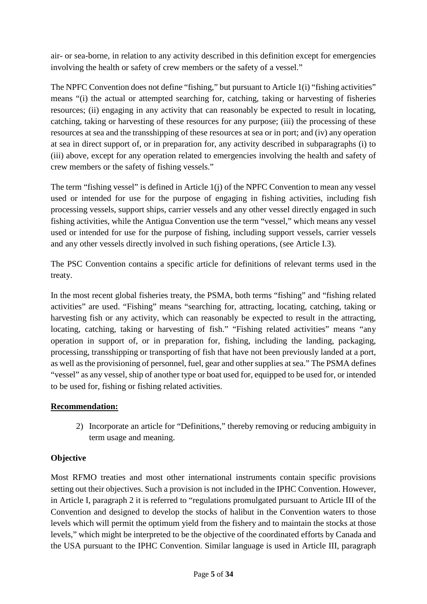air- or sea-borne, in relation to any activity described in this definition except for emergencies involving the health or safety of crew members or the safety of a vessel."

The NPFC Convention does not define "fishing," but pursuant to Article 1(i) "fishing activities" means "(i) the actual or attempted searching for, catching, taking or harvesting of fisheries resources; (ii) engaging in any activity that can reasonably be expected to result in locating, catching, taking or harvesting of these resources for any purpose; (iii) the processing of these resources at sea and the transshipping of these resources at sea or in port; and (iv) any operation at sea in direct support of, or in preparation for, any activity described in subparagraphs (i) to (iii) above, except for any operation related to emergencies involving the health and safety of crew members or the safety of fishing vessels."

The term "fishing vessel" is defined in Article 1(j) of the NPFC Convention to mean any vessel used or intended for use for the purpose of engaging in fishing activities, including fish processing vessels, support ships, carrier vessels and any other vessel directly engaged in such fishing activities, while the Antigua Convention use the term "vessel," which means any vessel used or intended for use for the purpose of fishing, including support vessels, carrier vessels and any other vessels directly involved in such fishing operations, (see Article I.3).

The PSC Convention contains a specific article for definitions of relevant terms used in the treaty.

In the most recent global fisheries treaty, the PSMA, both terms "fishing" and "fishing related activities" are used. "Fishing" means "searching for, attracting, locating, catching, taking or harvesting fish or any activity, which can reasonably be expected to result in the attracting, locating, catching, taking or harvesting of fish." "Fishing related activities" means "any operation in support of, or in preparation for, fishing, including the landing, packaging, processing, transshipping or transporting of fish that have not been previously landed at a port, as well as the provisioning of personnel, fuel, gear and other supplies at sea." The PSMA defines "vessel" as any vessel, ship of another type or boat used for, equipped to be used for, or intended to be used for, fishing or fishing related activities.

# **Recommendation:**

2) Incorporate an article for "Definitions," thereby removing or reducing ambiguity in term usage and meaning.

# **Objective**

Most RFMO treaties and most other international instruments contain specific provisions setting out their objectives. Such a provision is not included in the IPHC Convention. However, in Article I, paragraph 2 it is referred to "regulations promulgated pursuant to Article III of the Convention and designed to develop the stocks of halibut in the Convention waters to those levels which will permit the optimum yield from the fishery and to maintain the stocks at those levels," which might be interpreted to be the objective of the coordinated efforts by Canada and the USA pursuant to the IPHC Convention. Similar language is used in Article III, paragraph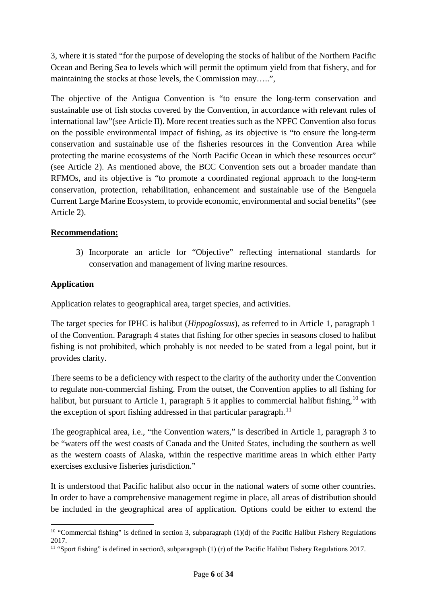3, where it is stated "for the purpose of developing the stocks of halibut of the Northern Pacific Ocean and Bering Sea to levels which will permit the optimum yield from that fishery, and for maintaining the stocks at those levels, the Commission may…..",

The objective of the Antigua Convention is "to ensure the long-term conservation and sustainable use of fish stocks covered by the Convention, in accordance with relevant rules of international law"(see Article II). More recent treaties such as the NPFC Convention also focus on the possible environmental impact of fishing, as its objective is "to ensure the long-term conservation and sustainable use of the fisheries resources in the Convention Area while protecting the marine ecosystems of the North Pacific Ocean in which these resources occur" (see Article 2). As mentioned above, the BCC Convention sets out a broader mandate than RFMOs, and its objective is "to promote a coordinated regional approach to the long-term conservation, protection, rehabilitation, enhancement and sustainable use of the Benguela Current Large Marine Ecosystem, to provide economic, environmental and social benefits" (see Article 2).

# **Recommendation:**

3) Incorporate an article for "Objective" reflecting international standards for conservation and management of living marine resources.

# **Application**

Application relates to geographical area, target species, and activities.

The target species for IPHC is halibut (*Hippoglossus*), as referred to in Article 1, paragraph 1 of the Convention. Paragraph 4 states that fishing for other species in seasons closed to halibut fishing is not prohibited, which probably is not needed to be stated from a legal point, but it provides clarity.

There seems to be a deficiency with respect to the clarity of the authority under the Convention to regulate non-commercial fishing. From the outset, the Convention applies to all fishing for halibut, but pursuant to Article 1, paragraph 5 it applies to commercial halibut fishing, <sup>[10](#page-16-0)</sup> with the exception of sport fishing addressed in that particular paragraph.<sup>11</sup>

The geographical area, i.e., "the Convention waters," is described in Article 1, paragraph 3 to be "waters off the west coasts of Canada and the United States, including the southern as well as the western coasts of Alaska, within the respective maritime areas in which either Party exercises exclusive fisheries jurisdiction."

It is understood that Pacific halibut also occur in the national waters of some other countries. In order to have a comprehensive management regime in place, all areas of distribution should be included in the geographical area of application. Options could be either to extend the

<span id="page-16-0"></span><sup>&</sup>lt;sup>10</sup> "Commercial fishing" is defined in section 3, subparagraph  $(1)(d)$  of the Pacific Halibut Fishery Regulations 2017.

<span id="page-16-1"></span><sup>&</sup>lt;sup>11</sup> "Sport fishing" is defined in section3, subparagraph (1) (r) of the Pacific Halibut Fishery Regulations 2017.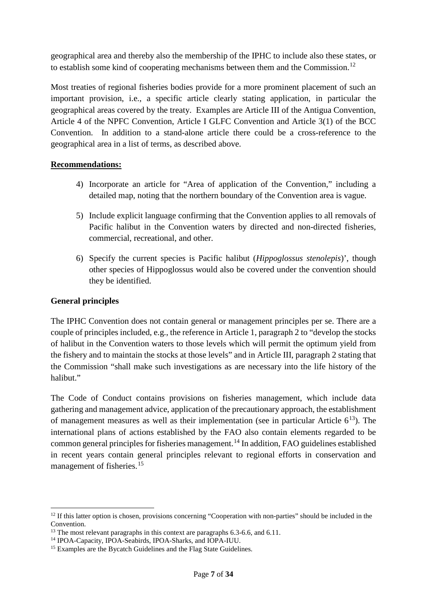geographical area and thereby also the membership of the IPHC to include also these states, or to establish some kind of cooperating mechanisms between them and the Commission.<sup>12</sup>

Most treaties of regional fisheries bodies provide for a more prominent placement of such an important provision, i.e., a specific article clearly stating application, in particular the geographical areas covered by the treaty. Examples are Article III of the Antigua Convention, Article 4 of the NPFC Convention, Article I GLFC Convention and Article 3(1) of the BCC Convention. In addition to a stand-alone article there could be a cross-reference to the geographical area in a list of terms, as described above.

# **Recommendations:**

- 4) Incorporate an article for "Area of application of the Convention," including a detailed map, noting that the northern boundary of the Convention area is vague.
- 5) Include explicit language confirming that the Convention applies to all removals of Pacific halibut in the Convention waters by directed and non-directed fisheries, commercial, recreational, and other.
- 6) Specify the current species is Pacific halibut (*Hippoglossus stenolepis*)', though other species of Hippoglossus would also be covered under the convention should they be identified.

### **General principles**

The IPHC Convention does not contain general or management principles per se. There are a couple of principles included, e.g., the reference in Article 1, paragraph 2 to "develop the stocks of halibut in the Convention waters to those levels which will permit the optimum yield from the fishery and to maintain the stocks at those levels" and in Article III, paragraph 2 stating that the Commission "shall make such investigations as are necessary into the life history of the halihut."

The Code of Conduct contains provisions on fisheries management, which include data gathering and management advice, application of the precautionary approach, the establishment of management measures as well as their implementation (see in particular Article  $6^{13}$  $6^{13}$  $6^{13}$ ). The international plans of actions established by the FAO also contain elements regarded to be common general principles for fisheries management.<sup>[14](#page-17-2)</sup> In addition, FAO guidelines established in recent years contain general principles relevant to regional efforts in conservation and management of fisheries.<sup>[15](#page-17-3)</sup>

<span id="page-17-0"></span><sup>&</sup>lt;sup>12</sup> If this latter option is chosen, provisions concerning "Cooperation with non-parties" should be included in the

<span id="page-17-1"></span>Convention. 13 The most relevant paragraphs in this context are paragraphs 6.3-6.6, and 6.11. 14 IPOA-Capacity, IPOA-Seabirds, IPOA-Sharks, and IOPA-IUU.

<span id="page-17-3"></span><span id="page-17-2"></span><sup>&</sup>lt;sup>15</sup> Examples are the Bycatch Guidelines and the Flag State Guidelines.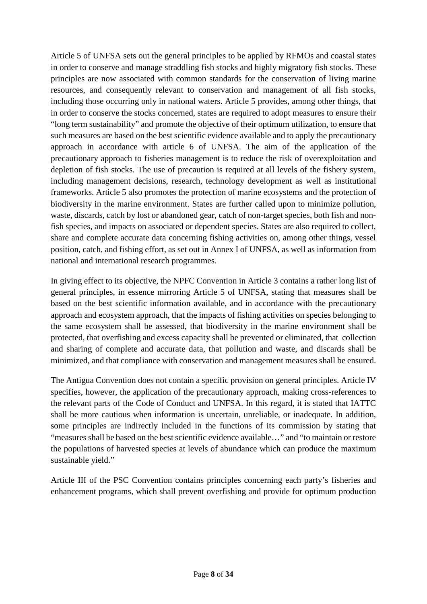Article 5 of UNFSA sets out the general principles to be applied by RFMOs and coastal states in order to conserve and manage straddling fish stocks and highly migratory fish stocks. These principles are now associated with common standards for the conservation of living marine resources, and consequently relevant to conservation and management of all fish stocks, including those occurring only in national waters. Article 5 provides, among other things, that in order to conserve the stocks concerned, states are required to adopt measures to ensure their "long term sustainability" and promote the objective of their optimum utilization, to ensure that such measures are based on the best scientific evidence available and to apply the precautionary approach in accordance with article 6 of UNFSA. The aim of the application of the precautionary approach to fisheries management is to reduce the risk of overexploitation and depletion of fish stocks. The use of precaution is required at all levels of the fishery system, including management decisions, research, technology development as well as institutional frameworks. Article 5 also promotes the protection of marine ecosystems and the protection of biodiversity in the marine environment. States are further called upon to minimize pollution, waste, discards, catch by lost or abandoned gear, catch of non-target species, both fish and nonfish species, and impacts on associated or dependent species. States are also required to collect, share and complete accurate data concerning fishing activities on, among other things, vessel position, catch, and fishing effort, as set out in Annex I of UNFSA, as well as information from national and international research programmes.

In giving effect to its objective, the NPFC Convention in Article 3 contains a rather long list of general principles, in essence mirroring Article 5 of UNFSA, stating that measures shall be based on the best scientific information available, and in accordance with the precautionary approach and ecosystem approach, that the impacts of fishing activities on species belonging to the same ecosystem shall be assessed, that biodiversity in the marine environment shall be protected, that overfishing and excess capacity shall be prevented or eliminated, that collection and sharing of complete and accurate data, that pollution and waste, and discards shall be minimized, and that compliance with conservation and management measures shall be ensured.

The Antigua Convention does not contain a specific provision on general principles. Article IV specifies, however, the application of the precautionary approach, making cross-references to the relevant parts of the Code of Conduct and UNFSA. In this regard, it is stated that IATTC shall be more cautious when information is uncertain, unreliable, or inadequate. In addition, some principles are indirectly included in the functions of its commission by stating that "measures shall be based on the best scientific evidence available…" and "to maintain or restore the populations of harvested species at levels of abundance which can produce the maximum sustainable yield."

Article III of the PSC Convention contains principles concerning each party's fisheries and enhancement programs, which shall prevent overfishing and provide for optimum production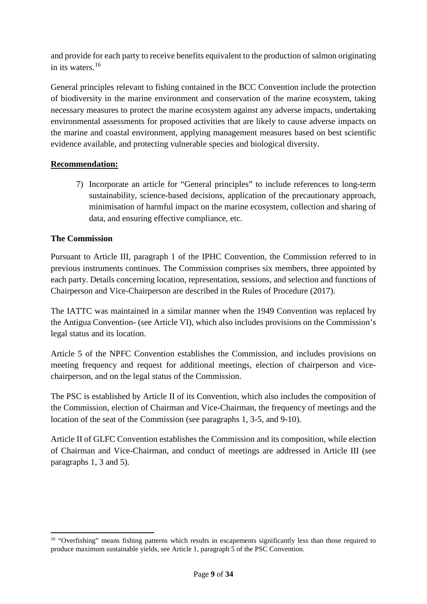and provide for each party to receive benefits equivalent to the production of salmon originating in its waters  $16$ 

General principles relevant to fishing contained in the BCC Convention include the protection of biodiversity in the marine environment and conservation of the marine ecosystem, taking necessary measures to protect the marine ecosystem against any adverse impacts, undertaking environmental assessments for proposed activities that are likely to cause adverse impacts on the marine and coastal environment, applying management measures based on best scientific evidence available, and protecting vulnerable species and biological diversity.

# **Recommendation:**

7) Incorporate an article for "General principles" to include references to long-term sustainability, science-based decisions, application of the precautionary approach, minimisation of harmful impact on the marine ecosystem, collection and sharing of data, and ensuring effective compliance, etc.

# **The Commission**

 $\overline{a}$ 

Pursuant to Article III, paragraph 1 of the IPHC Convention, the Commission referred to in previous instruments continues. The Commission comprises six members, three appointed by each party. Details concerning location, representation, sessions, and selection and functions of Chairperson and Vice-Chairperson are described in the Rules of Procedure (2017).

The IATTC was maintained in a similar manner when the 1949 Convention was replaced by the Antigua Convention- (see Article VI), which also includes provisions on the Commission's legal status and its location.

Article 5 of the NPFC Convention establishes the Commission, and includes provisions on meeting frequency and request for additional meetings, election of chairperson and vicechairperson, and on the legal status of the Commission.

The PSC is established by Article II of its Convention, which also includes the composition of the Commission, election of Chairman and Vice-Chairman, the frequency of meetings and the location of the seat of the Commission (see paragraphs 1, 3-5, and 9-10).

Article II of GLFC Convention establishes the Commission and its composition, while election of Chairman and Vice-Chairman, and conduct of meetings are addressed in Article III (see paragraphs 1, 3 and 5).

<span id="page-19-0"></span><sup>&</sup>lt;sup>16</sup> "Overfishing" means fishing patterns which results in escapements significantly less than those required to produce maximum sustainable yields, see Article 1, paragraph 5 of the PSC Convention.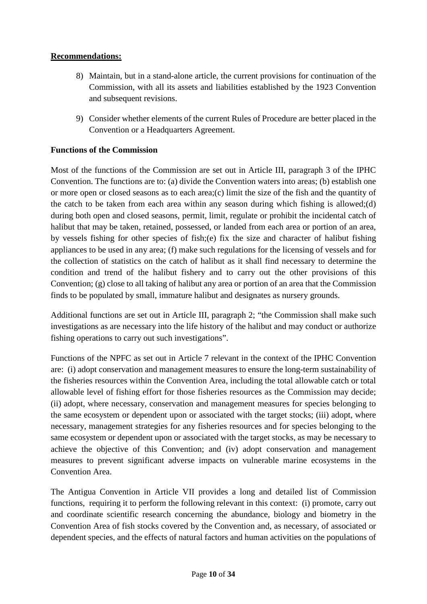# **Recommendations:**

- 8) Maintain, but in a stand-alone article, the current provisions for continuation of the Commission, with all its assets and liabilities established by the 1923 Convention and subsequent revisions.
- 9) Consider whether elements of the current Rules of Procedure are better placed in the Convention or a Headquarters Agreement.

# **Functions of the Commission**

Most of the functions of the Commission are set out in Article III, paragraph 3 of the IPHC Convention. The functions are to: (a) divide the Convention waters into areas; (b) establish one or more open or closed seasons as to each area;(c) limit the size of the fish and the quantity of the catch to be taken from each area within any season during which fishing is allowed;(d) during both open and closed seasons, permit, limit, regulate or prohibit the incidental catch of halibut that may be taken, retained, possessed, or landed from each area or portion of an area, by vessels fishing for other species of fish;(e) fix the size and character of halibut fishing appliances to be used in any area; (f) make such regulations for the licensing of vessels and for the collection of statistics on the catch of halibut as it shall find necessary to determine the condition and trend of the halibut fishery and to carry out the other provisions of this Convention; (g) close to all taking of halibut any area or portion of an area that the Commission finds to be populated by small, immature halibut and designates as nursery grounds.

Additional functions are set out in Article III, paragraph 2; "the Commission shall make such investigations as are necessary into the life history of the halibut and may conduct or authorize fishing operations to carry out such investigations".

Functions of the NPFC as set out in Article 7 relevant in the context of the IPHC Convention are: (i) adopt conservation and management measures to ensure the long-term sustainability of the fisheries resources within the Convention Area, including the total allowable catch or total allowable level of fishing effort for those fisheries resources as the Commission may decide; (ii) adopt, where necessary, conservation and management measures for species belonging to the same ecosystem or dependent upon or associated with the target stocks; (iii) adopt, where necessary, management strategies for any fisheries resources and for species belonging to the same ecosystem or dependent upon or associated with the target stocks, as may be necessary to achieve the objective of this Convention; and (iv) adopt conservation and management measures to prevent significant adverse impacts on vulnerable marine ecosystems in the Convention Area.

The Antigua Convention in Article VII provides a long and detailed list of Commission functions, requiring it to perform the following relevant in this context: (i) promote, carry out and coordinate scientific research concerning the abundance, biology and biometry in the Convention Area of fish stocks covered by the Convention and, as necessary, of associated or dependent species, and the effects of natural factors and human activities on the populations of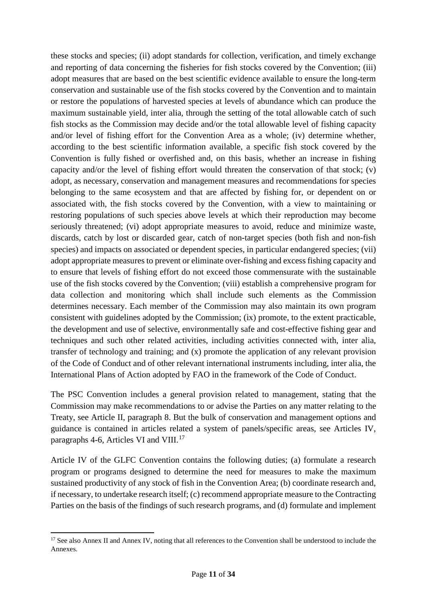these stocks and species; (ii) adopt standards for collection, verification, and timely exchange and reporting of data concerning the fisheries for fish stocks covered by the Convention; (iii) adopt measures that are based on the best scientific evidence available to ensure the long-term conservation and sustainable use of the fish stocks covered by the Convention and to maintain or restore the populations of harvested species at levels of abundance which can produce the maximum sustainable yield, inter alia, through the setting of the total allowable catch of such fish stocks as the Commission may decide and/or the total allowable level of fishing capacity and/or level of fishing effort for the Convention Area as a whole; (iv) determine whether, according to the best scientific information available, a specific fish stock covered by the Convention is fully fished or overfished and, on this basis, whether an increase in fishing capacity and/or the level of fishing effort would threaten the conservation of that stock; (v) adopt, as necessary, conservation and management measures and recommendations for species belonging to the same ecosystem and that are affected by fishing for, or dependent on or associated with, the fish stocks covered by the Convention, with a view to maintaining or restoring populations of such species above levels at which their reproduction may become seriously threatened; (vi) adopt appropriate measures to avoid, reduce and minimize waste, discards, catch by lost or discarded gear, catch of non-target species (both fish and non-fish species) and impacts on associated or dependent species, in particular endangered species; (vii) adopt appropriate measures to prevent or eliminate over-fishing and excess fishing capacity and to ensure that levels of fishing effort do not exceed those commensurate with the sustainable use of the fish stocks covered by the Convention; (viii) establish a comprehensive program for data collection and monitoring which shall include such elements as the Commission determines necessary. Each member of the Commission may also maintain its own program consistent with guidelines adopted by the Commission; (ix) promote, to the extent practicable, the development and use of selective, environmentally safe and cost-effective fishing gear and techniques and such other related activities, including activities connected with, inter alia, transfer of technology and training; and (x) promote the application of any relevant provision of the Code of Conduct and of other relevant international instruments including, inter alia, the International Plans of Action adopted by FAO in the framework of the Code of Conduct.

The PSC Convention includes a general provision related to management, stating that the Commission may make recommendations to or advise the Parties on any matter relating to the Treaty, see Article II, paragraph 8. But the bulk of conservation and management options and guidance is contained in articles related a system of panels/specific areas, see Articles IV, paragraphs 4-6, Articles VI and VIII.<sup>17</sup>

Article IV of the GLFC Convention contains the following duties; (a) formulate a research program or programs designed to determine the need for measures to make the maximum sustained productivity of any stock of fish in the Convention Area; (b) coordinate research and, if necessary, to undertake research itself; (c) recommend appropriate measure to the Contracting Parties on the basis of the findings of such research programs, and (d) formulate and implement

 $\overline{a}$ 

<span id="page-21-0"></span><sup>&</sup>lt;sup>17</sup> See also Annex II and Annex IV, noting that all references to the Convention shall be understood to include the Annexes.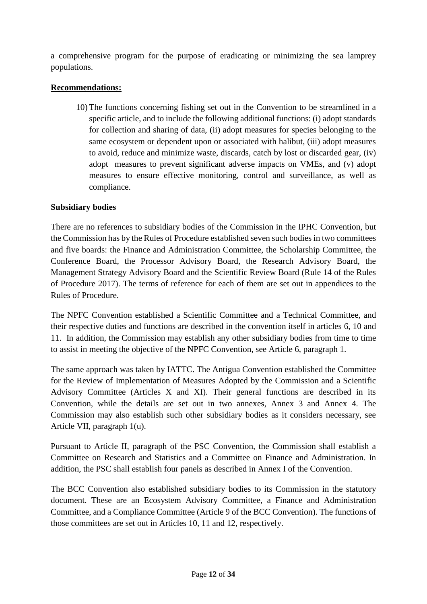a comprehensive program for the purpose of eradicating or minimizing the sea lamprey populations.

# **Recommendations:**

10) The functions concerning fishing set out in the Convention to be streamlined in a specific article, and to include the following additional functions: (i) adopt standards for collection and sharing of data, (ii) adopt measures for species belonging to the same ecosystem or dependent upon or associated with halibut, (iii) adopt measures to avoid, reduce and minimize waste, discards, catch by lost or discarded gear, (iv) adopt measures to prevent significant adverse impacts on VMEs, and (v) adopt measures to ensure effective monitoring, control and surveillance, as well as compliance.

# **Subsidiary bodies**

There are no references to subsidiary bodies of the Commission in the IPHC Convention, but the Commission has by the Rules of Procedure established seven such bodies in two committees and five boards: the Finance and Administration Committee, the Scholarship Committee, the Conference Board, the Processor Advisory Board, the Research Advisory Board, the Management Strategy Advisory Board and the Scientific Review Board (Rule 14 of the Rules of Procedure 2017). The terms of reference for each of them are set out in appendices to the Rules of Procedure.

The NPFC Convention established a Scientific Committee and a Technical Committee, and their respective duties and functions are described in the convention itself in articles 6, 10 and 11. In addition, the Commission may establish any other subsidiary bodies from time to time to assist in meeting the objective of the NPFC Convention, see Article 6, paragraph 1.

The same approach was taken by IATTC. The Antigua Convention established the Committee for the Review of Implementation of Measures Adopted by the Commission and a Scientific Advisory Committee (Articles X and XI). Their general functions are described in its Convention, while the details are set out in two annexes, Annex 3 and Annex 4. The Commission may also establish such other subsidiary bodies as it considers necessary, see Article VII, paragraph 1(u).

Pursuant to Article II, paragraph of the PSC Convention, the Commission shall establish a Committee on Research and Statistics and a Committee on Finance and Administration. In addition, the PSC shall establish four panels as described in Annex I of the Convention.

The BCC Convention also established subsidiary bodies to its Commission in the statutory document. These are an Ecosystem Advisory Committee, a Finance and Administration Committee, and a Compliance Committee (Article 9 of the BCC Convention). The functions of those committees are set out in Articles 10, 11 and 12, respectively.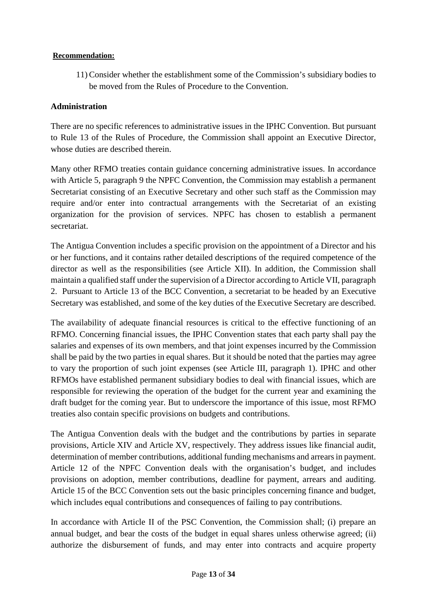### **Recommendation:**

11) Consider whether the establishment some of the Commission's subsidiary bodies to be moved from the Rules of Procedure to the Convention.

# **Administration**

There are no specific references to administrative issues in the IPHC Convention. But pursuant to Rule 13 of the Rules of Procedure, the Commission shall appoint an Executive Director, whose duties are described therein.

Many other RFMO treaties contain guidance concerning administrative issues. In accordance with Article 5, paragraph 9 the NPFC Convention, the Commission may establish a permanent Secretariat consisting of an Executive Secretary and other such staff as the Commission may require and/or enter into contractual arrangements with the Secretariat of an existing organization for the provision of services. NPFC has chosen to establish a permanent secretariat.

The Antigua Convention includes a specific provision on the appointment of a Director and his or her functions, and it contains rather detailed descriptions of the required competence of the director as well as the responsibilities (see Article XII). In addition, the Commission shall maintain a qualified staff under the supervision of a Director according to Article VII, paragraph 2. Pursuant to Article 13 of the BCC Convention, a secretariat to be headed by an Executive Secretary was established, and some of the key duties of the Executive Secretary are described.

The availability of adequate financial resources is critical to the effective functioning of an RFMO. Concerning financial issues, the IPHC Convention states that each party shall pay the salaries and expenses of its own members, and that joint expenses incurred by the Commission shall be paid by the two parties in equal shares. But it should be noted that the parties may agree to vary the proportion of such joint expenses (see Article III, paragraph 1). IPHC and other RFMOs have established permanent subsidiary bodies to deal with financial issues, which are responsible for reviewing the operation of the budget for the current year and examining the draft budget for the coming year. But to underscore the importance of this issue, most RFMO treaties also contain specific provisions on budgets and contributions.

The Antigua Convention deals with the budget and the contributions by parties in separate provisions, Article XIV and Article XV, respectively. They address issues like financial audit, determination of member contributions, additional funding mechanisms and arrears in payment. Article 12 of the NPFC Convention deals with the organisation's budget, and includes provisions on adoption, member contributions, deadline for payment, arrears and auditing. Article 15 of the BCC Convention sets out the basic principles concerning finance and budget, which includes equal contributions and consequences of failing to pay contributions.

In accordance with Article II of the PSC Convention, the Commission shall; (i) prepare an annual budget, and bear the costs of the budget in equal shares unless otherwise agreed; (ii) authorize the disbursement of funds, and may enter into contracts and acquire property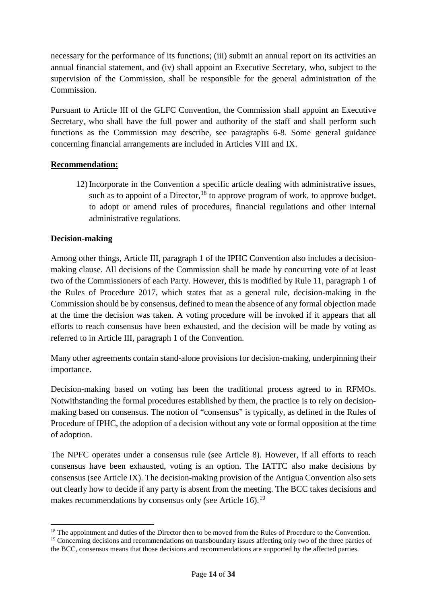necessary for the performance of its functions; (iii) submit an annual report on its activities an annual financial statement, and (iv) shall appoint an Executive Secretary, who, subject to the supervision of the Commission, shall be responsible for the general administration of the Commission.

Pursuant to Article III of the GLFC Convention, the Commission shall appoint an Executive Secretary, who shall have the full power and authority of the staff and shall perform such functions as the Commission may describe, see paragraphs 6-8. Some general guidance concerning financial arrangements are included in Articles VIII and IX.

# **Recommendation:**

12) Incorporate in the Convention a specific article dealing with administrative issues, such as to appoint of a Director,  $^{18}$  $^{18}$  $^{18}$  to approve program of work, to approve budget, to adopt or amend rules of procedures, financial regulations and other internal administrative regulations.

# **Decision-making**

Among other things, Article III, paragraph 1 of the IPHC Convention also includes a decisionmaking clause. All decisions of the Commission shall be made by concurring vote of at least two of the Commissioners of each Party. However, this is modified by Rule 11, paragraph 1 of the Rules of Procedure 2017, which states that as a general rule, decision-making in the Commission should be by consensus, defined to mean the absence of any formal objection made at the time the decision was taken. A voting procedure will be invoked if it appears that all efforts to reach consensus have been exhausted, and the decision will be made by voting as referred to in Article III, paragraph 1 of the Convention.

Many other agreements contain stand-alone provisions for decision-making, underpinning their importance.

Decision-making based on voting has been the traditional process agreed to in RFMOs. Notwithstanding the formal procedures established by them, the practice is to rely on decisionmaking based on consensus. The notion of "consensus" is typically, as defined in the Rules of Procedure of IPHC, the adoption of a decision without any vote or formal opposition at the time of adoption.

The NPFC operates under a consensus rule (see Article 8). However, if all efforts to reach consensus have been exhausted, voting is an option. The IATTC also make decisions by consensus (see Article IX). The decision-making provision of the Antigua Convention also sets out clearly how to decide if any party is absent from the meeting. The BCC takes decisions and makes recommendations by consensus only (see Article 16).<sup>[19](#page-24-1)</sup>

<span id="page-24-1"></span><span id="page-24-0"></span><sup>&</sup>lt;sup>18</sup> The appointment and duties of the Director then to be moved from the Rules of Procedure to the Convention. <sup>19</sup> Concerning decisions and recommendations on transboundary issues affecting only two of the three parties of the BCC, consensus means that those decisions and recommendations are supported by the affected parties.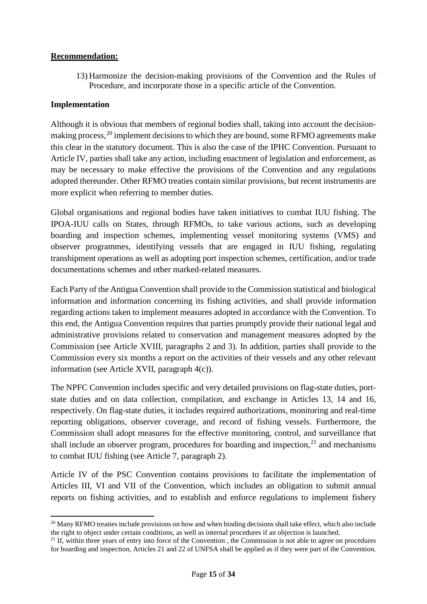# **Recommendation:**

13) Harmonize the decision-making provisions of the Convention and the Rules of Procedure, and incorporate those in a specific article of the Convention.

# **Implementation**

Although it is obvious that members of regional bodies shall, taking into account the decisionmaking process,  $^{20}$  $^{20}$  $^{20}$  implement decisions to which they are bound, some RFMO agreements make this clear in the statutory document. This is also the case of the IPHC Convention. Pursuant to Article IV, parties shall take any action, including enactment of legislation and enforcement, as may be necessary to make effective the provisions of the Convention and any regulations adopted thereunder. Other RFMO treaties contain similar provisions, but recent instruments are more explicit when referring to member duties.

Global organisations and regional bodies have taken initiatives to combat IUU fishing. The IPOA-IUU calls on States, through RFMOs, to take various actions, such as developing boarding and inspection schemes, implementing vessel monitoring systems (VMS) and observer programmes, identifying vessels that are engaged in IUU fishing, regulating transhipment operations as well as adopting port inspection schemes, certification, and/or trade documentations schemes and other marked-related measures.

Each Party of the Antigua Convention shall provide to the Commission statistical and biological information and information concerning its fishing activities, and shall provide information regarding actions taken to implement measures adopted in accordance with the Convention. To this end, the Antigua Convention requires that parties promptly provide their national legal and administrative provisions related to conservation and management measures adopted by the Commission (see Article XVIII, paragraphs 2 and 3). In addition, parties shall provide to the Commission every six months a report on the activities of their vessels and any other relevant information (see Article XVII, paragraph 4(c)).

The NPFC Convention includes specific and very detailed provisions on flag-state duties, portstate duties and on data collection, compilation, and exchange in Articles 13, 14 and 16, respectively. On flag-state duties, it includes required authorizations, monitoring and real-time reporting obligations, observer coverage, and record of fishing vessels. Furthermore, the Commission shall adopt measures for the effective monitoring, control, and surveillance that shall include an observer program, procedures for boarding and inspection,<sup>[21](#page-25-1)</sup> and mechanisms to combat IUU fishing (see Article 7, paragraph 2).

Article IV of the PSC Convention contains provisions to facilitate the implementation of Articles III, VI and VII of the Convention, which includes an obligation to submit annual reports on fishing activities, and to establish and enforce regulations to implement fishery

<span id="page-25-0"></span><sup>&</sup>lt;sup>20</sup> Many RFMO treaties include provisions on how and when binding decisions shall take effect, which also include the right to object under certain conditions, as well as internal procedures if an objection is launched.

<span id="page-25-1"></span><sup>&</sup>lt;sup>21</sup> If, within three years of entry into force of the Convention, the Commission is not able to agree on procedures for boarding and inspection, Articles 21 and 22 of UNFSA shall be applied as if they were part of the Convention.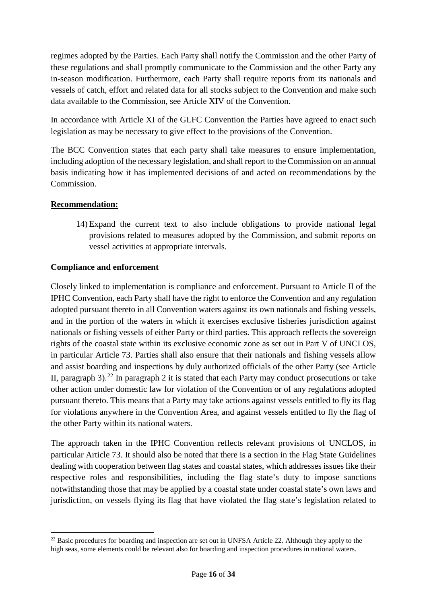regimes adopted by the Parties. Each Party shall notify the Commission and the other Party of these regulations and shall promptly communicate to the Commission and the other Party any in-season modification. Furthermore, each Party shall require reports from its nationals and vessels of catch, effort and related data for all stocks subject to the Convention and make such data available to the Commission, see Article XIV of the Convention.

In accordance with Article XI of the GLFC Convention the Parties have agreed to enact such legislation as may be necessary to give effect to the provisions of the Convention.

The BCC Convention states that each party shall take measures to ensure implementation, including adoption of the necessary legislation, and shall report to the Commission on an annual basis indicating how it has implemented decisions of and acted on recommendations by the Commission.

# **Recommendation:**

 $\overline{a}$ 

14) Expand the current text to also include obligations to provide national legal provisions related to measures adopted by the Commission, and submit reports on vessel activities at appropriate intervals.

# **Compliance and enforcement**

Closely linked to implementation is compliance and enforcement. Pursuant to Article II of the IPHC Convention, each Party shall have the right to enforce the Convention and any regulation adopted pursuant thereto in all Convention waters against its own nationals and fishing vessels, and in the portion of the waters in which it exercises exclusive fisheries jurisdiction against nationals or fishing vessels of either Party or third parties. This approach reflects the sovereign rights of the coastal state within its exclusive economic zone as set out in Part V of UNCLOS, in particular Article 73. Parties shall also ensure that their nationals and fishing vessels allow and assist boarding and inspections by duly authorized officials of the other Party (see Article II, paragraph  $3$ ).<sup>[22](#page-26-0)</sup> In paragraph 2 it is stated that each Party may conduct prosecutions or take other action under domestic law for violation of the Convention or of any regulations adopted pursuant thereto. This means that a Party may take actions against vessels entitled to fly its flag for violations anywhere in the Convention Area, and against vessels entitled to fly the flag of the other Party within its national waters.

The approach taken in the IPHC Convention reflects relevant provisions of UNCLOS, in particular Article 73. It should also be noted that there is a section in the Flag State Guidelines dealing with cooperation between flag states and coastal states, which addresses issues like their respective roles and responsibilities, including the flag state's duty to impose sanctions notwithstanding those that may be applied by a coastal state under coastal state's own laws and jurisdiction, on vessels flying its flag that have violated the flag state's legislation related to

<span id="page-26-0"></span><sup>&</sup>lt;sup>22</sup> Basic procedures for boarding and inspection are set out in UNFSA Article 22. Although they apply to the high seas, some elements could be relevant also for boarding and inspection procedures in national waters.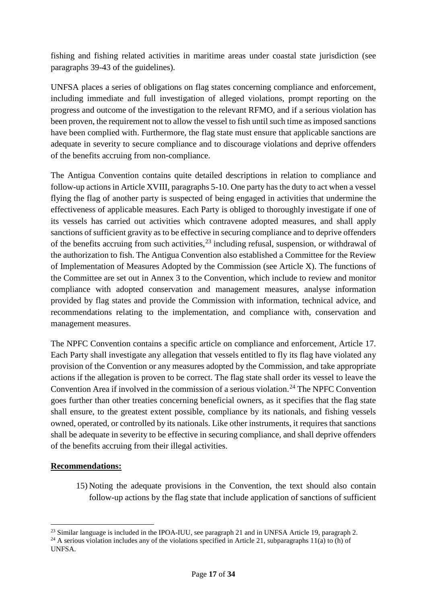fishing and fishing related activities in maritime areas under coastal state jurisdiction (see paragraphs 39-43 of the guidelines).

UNFSA places a series of obligations on flag states concerning compliance and enforcement, including immediate and full investigation of alleged violations, prompt reporting on the progress and outcome of the investigation to the relevant RFMO, and if a serious violation has been proven, the requirement not to allow the vessel to fish until such time as imposed sanctions have been complied with. Furthermore, the flag state must ensure that applicable sanctions are adequate in severity to secure compliance and to discourage violations and deprive offenders of the benefits accruing from non-compliance.

The Antigua Convention contains quite detailed descriptions in relation to compliance and follow-up actions in Article XVIII, paragraphs 5-10. One party has the duty to act when a vessel flying the flag of another party is suspected of being engaged in activities that undermine the effectiveness of applicable measures. Each Party is obliged to thoroughly investigate if one of its vessels has carried out activities which contravene adopted measures, and shall apply sanctions of sufficient gravity as to be effective in securing compliance and to deprive offenders of the benefits accruing from such activities,  $^{23}$  $^{23}$  $^{23}$  including refusal, suspension, or withdrawal of the authorization to fish. The Antigua Convention also established a Committee for the Review of Implementation of Measures Adopted by the Commission (see Article X). The functions of the Committee are set out in Annex 3 to the Convention, which include to review and monitor compliance with adopted conservation and management measures, analyse information provided by flag states and provide the Commission with information, technical advice, and recommendations relating to the implementation, and compliance with, conservation and management measures.

The NPFC Convention contains a specific article on compliance and enforcement, Article 17. Each Party shall investigate any allegation that vessels entitled to fly its flag have violated any provision of the Convention or any measures adopted by the Commission, and take appropriate actions if the allegation is proven to be correct. The flag state shall order its vessel to leave the Convention Area if involved in the commission of a serious violation.<sup>[24](#page-27-1)</sup> The NPFC Convention goes further than other treaties concerning beneficial owners, as it specifies that the flag state shall ensure, to the greatest extent possible, compliance by its nationals, and fishing vessels owned, operated, or controlled by its nationals. Like other instruments, it requires that sanctions shall be adequate in severity to be effective in securing compliance, and shall deprive offenders of the benefits accruing from their illegal activities.

# **Recommendations:**

 $\overline{a}$ 

15) Noting the adequate provisions in the Convention, the text should also contain follow-up actions by the flag state that include application of sanctions of sufficient

<span id="page-27-0"></span><sup>&</sup>lt;sup>23</sup> Similar language is included in the IPOA-IUU, see paragraph 21 and in UNFSA Article 19, paragraph 2.

<span id="page-27-1"></span><sup>&</sup>lt;sup>24</sup> A serious violation includes any of the violations specified in Article 21, subparagraphs 11(a) to (h) of UNFSA.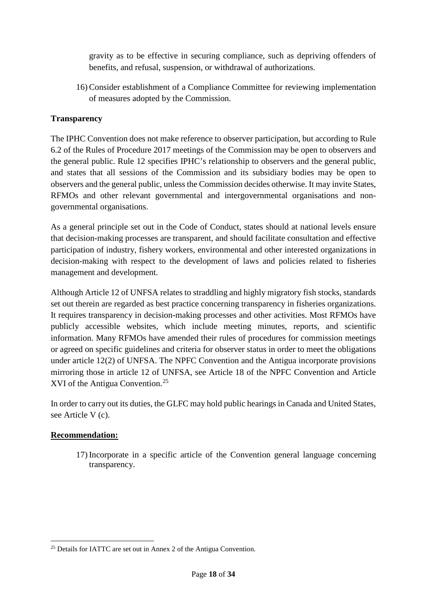gravity as to be effective in securing compliance, such as depriving offenders of benefits, and refusal, suspension, or withdrawal of authorizations.

16) Consider establishment of a Compliance Committee for reviewing implementation of measures adopted by the Commission.

# **Transparency**

The IPHC Convention does not make reference to observer participation, but according to Rule 6.2 of the Rules of Procedure 2017 meetings of the Commission may be open to observers and the general public. Rule 12 specifies IPHC's relationship to observers and the general public, and states that all sessions of the Commission and its subsidiary bodies may be open to observers and the general public, unless the Commission decides otherwise. It may invite States, RFMOs and other relevant governmental and intergovernmental organisations and nongovernmental organisations.

As a general principle set out in the Code of Conduct, states should at national levels ensure that decision-making processes are transparent, and should facilitate consultation and effective participation of industry, fishery workers, environmental and other interested organizations in decision-making with respect to the development of laws and policies related to fisheries management and development.

Although Article 12 of UNFSA relates to straddling and highly migratory fish stocks, standards set out therein are regarded as best practice concerning transparency in fisheries organizations. It requires transparency in decision-making processes and other activities. Most RFMOs have publicly accessible websites, which include meeting minutes, reports, and scientific information. Many RFMOs have amended their rules of procedures for commission meetings or agreed on specific guidelines and criteria for observer status in order to meet the obligations under article 12(2) of UNFSA. The NPFC Convention and the Antigua incorporate provisions mirroring those in article 12 of UNFSA, see Article 18 of the NPFC Convention and Article XVI of the Antigua Convention.<sup>[25](#page-28-0)</sup>

In order to carry out its duties, the GLFC may hold public hearings in Canada and United States, see Article V (c).

# **Recommendation:**

l

17) Incorporate in a specific article of the Convention general language concerning transparency.

<span id="page-28-0"></span><sup>&</sup>lt;sup>25</sup> Details for IATTC are set out in Annex 2 of the Antigua Convention.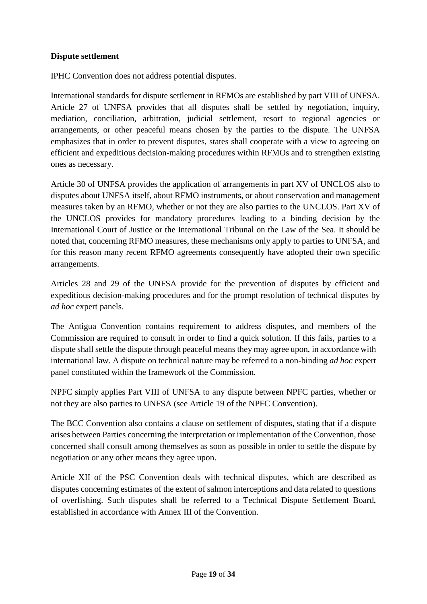# **Dispute settlement**

IPHC Convention does not address potential disputes.

International standards for dispute settlement in RFMOs are established by part VIII of UNFSA. Article 27 of UNFSA provides that all disputes shall be settled by negotiation, inquiry, mediation, conciliation, arbitration, judicial settlement, resort to regional agencies or arrangements, or other peaceful means chosen by the parties to the dispute. The UNFSA emphasizes that in order to prevent disputes, states shall cooperate with a view to agreeing on efficient and expeditious decision-making procedures within RFMOs and to strengthen existing ones as necessary.

Article 30 of UNFSA provides the application of arrangements in part XV of UNCLOS also to disputes about UNFSA itself, about RFMO instruments, or about conservation and management measures taken by an RFMO, whether or not they are also parties to the UNCLOS. Part XV of the UNCLOS provides for mandatory procedures leading to a binding decision by the International Court of Justice or the International Tribunal on the Law of the Sea. It should be noted that, concerning RFMO measures, these mechanisms only apply to parties to UNFSA, and for this reason many recent RFMO agreements consequently have adopted their own specific arrangements.

Articles 28 and 29 of the UNFSA provide for the prevention of disputes by efficient and expeditious decision-making procedures and for the prompt resolution of technical disputes by *ad hoc* expert panels.

The Antigua Convention contains requirement to address disputes, and members of the Commission are required to consult in order to find a quick solution. If this fails, parties to a dispute shall settle the dispute through peaceful means they may agree upon, in accordance with international law. A dispute on technical nature may be referred to a non-binding *ad hoc* expert panel constituted within the framework of the Commission.

NPFC simply applies Part VIII of UNFSA to any dispute between NPFC parties, whether or not they are also parties to UNFSA (see Article 19 of the NPFC Convention).

The BCC Convention also contains a clause on settlement of disputes, stating that if a dispute arises between Parties concerning the interpretation or implementation of the Convention, those concerned shall consult among themselves as soon as possible in order to settle the dispute by negotiation or any other means they agree upon.

Article XII of the PSC Convention deals with technical disputes, which are described as disputes concerning estimates of the extent of salmon interceptions and data related to questions of overfishing. Such disputes shall be referred to a Technical Dispute Settlement Board, established in accordance with Annex III of the Convention.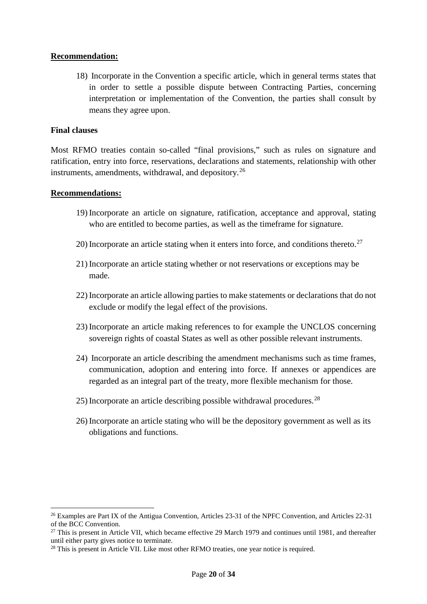#### **Recommendation:**

18) Incorporate in the Convention a specific article, which in general terms states that in order to settle a possible dispute between Contracting Parties, concerning interpretation or implementation of the Convention, the parties shall consult by means they agree upon.

### **Final clauses**

Most RFMO treaties contain so-called "final provisions," such as rules on signature and ratification, entry into force, reservations, declarations and statements, relationship with other instruments, amendments, withdrawal, and depository.  $26$ 

### **Recommendations:**

 $\overline{a}$ 

- 19) Incorporate an article on signature, ratification, acceptance and approval, stating who are entitled to become parties, as well as the timeframe for signature.
- 20) Incorporate an article stating when it enters into force, and conditions thereto.<sup>27</sup>
- 21) Incorporate an article stating whether or not reservations or exceptions may be made.
- 22) Incorporate an article allowing parties to make statements or declarations that do not exclude or modify the legal effect of the provisions.
- 23) Incorporate an article making references to for example the UNCLOS concerning sovereign rights of coastal States as well as other possible relevant instruments.
- 24) Incorporate an article describing the amendment mechanisms such as time frames, communication, adoption and entering into force. If annexes or appendices are regarded as an integral part of the treaty, more flexible mechanism for those.
- 25) Incorporate an article describing possible withdrawal procedures.[28](#page-30-2)
- 26) Incorporate an article stating who will be the depository government as well as its obligations and functions.

<span id="page-30-0"></span><sup>&</sup>lt;sup>26</sup> Examples are Part IX of the Antigua Convention, Articles 23-31 of the NPFC Convention, and Articles 22-31 of the BCC Convention.

<span id="page-30-1"></span><sup>&</sup>lt;sup>27</sup> This is present in Article VII, which became effective 29 March 1979 and continues until 1981, and thereafter until either party gives notice to terminate.

<span id="page-30-2"></span><sup>&</sup>lt;sup>28</sup> This is present in Article VII. Like most other RFMO treaties, one year notice is required.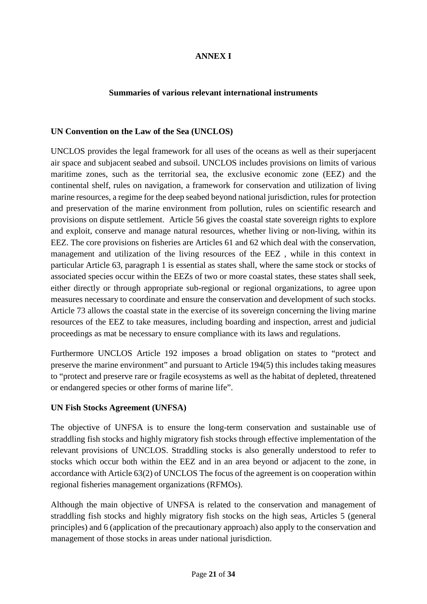# **ANNEX I**

### **Summaries of various relevant international instruments**

#### **UN Convention on the Law of the Sea (UNCLOS)**

UNCLOS provides the legal framework for all uses of the oceans as well as their superjacent air space and subjacent seabed and subsoil. UNCLOS includes provisions on limits of various maritime zones, such as the territorial sea, the exclusive economic zone (EEZ) and the continental shelf, rules on navigation, a framework for conservation and utilization of living marine resources, a regime for the deep seabed beyond national jurisdiction, rules for protection and preservation of the marine environment from pollution, rules on scientific research and provisions on dispute settlement. Article 56 gives the coastal state sovereign rights to explore and exploit, conserve and manage natural resources, whether living or non-living, within its EEZ. The core provisions on fisheries are Articles 61 and 62 which deal with the conservation, management and utilization of the living resources of the EEZ , while in this context in particular Article 63, paragraph 1 is essential as states shall, where the same stock or stocks of associated species occur within the EEZs of two or more coastal states, these states shall seek, either directly or through appropriate sub-regional or regional organizations, to agree upon measures necessary to coordinate and ensure the conservation and development of such stocks. Article 73 allows the coastal state in the exercise of its sovereign concerning the living marine resources of the EEZ to take measures, including boarding and inspection, arrest and judicial proceedings as mat be necessary to ensure compliance with its laws and regulations.

Furthermore UNCLOS Article 192 imposes a broad obligation on states to "protect and preserve the marine environment" and pursuant to Article 194(5) this includes taking measures to "protect and preserve rare or fragile ecosystems as well as the habitat of depleted, threatened or endangered species or other forms of marine life".

# **UN Fish Stocks Agreement (UNFSA)**

The objective of UNFSA is to ensure the long-term conservation and sustainable use of straddling fish stocks and highly migratory fish stocks through effective implementation of the relevant provisions of UNCLOS. Straddling stocks is also generally understood to refer to stocks which occur both within the EEZ and in an area beyond or adjacent to the zone, in accordance with Article 63(2) of UNCLOS The focus of the agreement is on cooperation within regional fisheries management organizations (RFMOs).

Although the main objective of UNFSA is related to the conservation and management of straddling fish stocks and highly migratory fish stocks on the high seas, Articles 5 (general principles) and 6 (application of the precautionary approach) also apply to the conservation and management of those stocks in areas under national jurisdiction.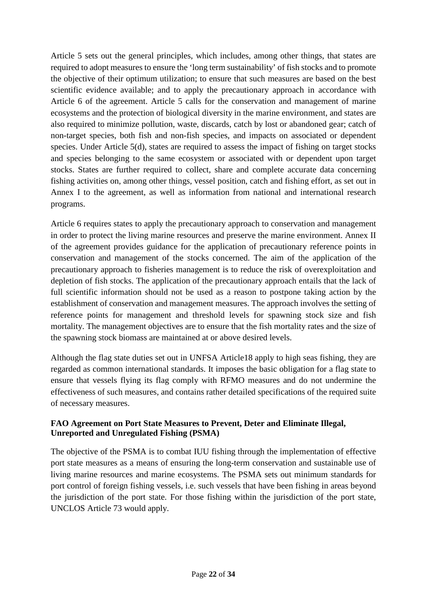Article 5 sets out the general principles, which includes, among other things, that states are required to adopt measures to ensure the 'long term sustainability' of fish stocks and to promote the objective of their optimum utilization; to ensure that such measures are based on the best scientific evidence available; and to apply the precautionary approach in accordance with Article 6 of the agreement. Article 5 calls for the conservation and management of marine ecosystems and the protection of biological diversity in the marine environment, and states are also required to minimize pollution, waste, discards, catch by lost or abandoned gear; catch of non-target species, both fish and non-fish species, and impacts on associated or dependent species. Under Article 5(d), states are required to assess the impact of fishing on target stocks and species belonging to the same ecosystem or associated with or dependent upon target stocks. States are further required to collect, share and complete accurate data concerning fishing activities on, among other things*,* vessel position, catch and fishing effort, as set out in Annex I to the agreement, as well as information from national and international research programs.

Article 6 requires states to apply the precautionary approach to conservation and management in order to protect the living marine resources and preserve the marine environment. Annex II of the agreement provides guidance for the application of precautionary reference points in conservation and management of the stocks concerned. The aim of the application of the precautionary approach to fisheries management is to reduce the risk of overexploitation and depletion of fish stocks. The application of the precautionary approach entails that the lack of full scientific information should not be used as a reason to postpone taking action by the establishment of conservation and management measures. The approach involves the setting of reference points for management and threshold levels for spawning stock size and fish mortality. The management objectives are to ensure that the fish mortality rates and the size of the spawning stock biomass are maintained at or above desired levels.

Although the flag state duties set out in UNFSA Article18 apply to high seas fishing, they are regarded as common international standards. It imposes the basic obligation for a flag state to ensure that vessels flying its flag comply with RFMO measures and do not undermine the effectiveness of such measures, and contains rather detailed specifications of the required suite of necessary measures.

# **FAO Agreement on Port State Measures to Prevent, Deter and Eliminate Illegal, Unreported and Unregulated Fishing (PSMA)**

The objective of the PSMA is to combat IUU fishing through the implementation of effective port state measures as a means of ensuring the long-term conservation and sustainable use of living marine resources and marine ecosystems. The PSMA sets out minimum standards for port control of foreign fishing vessels, i.e. such vessels that have been fishing in areas beyond the jurisdiction of the port state. For those fishing within the jurisdiction of the port state, UNCLOS Article 73 would apply.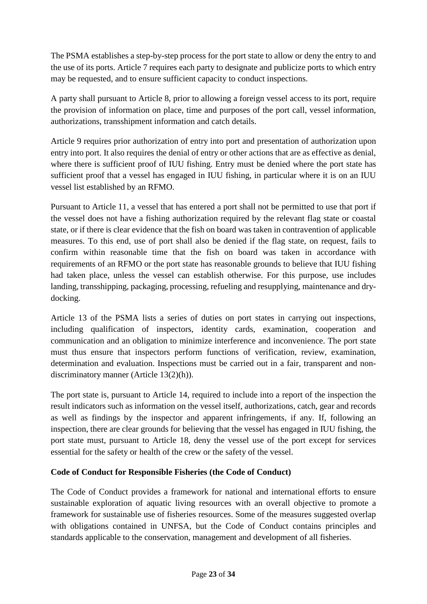The PSMA establishes a step-by-step process for the port state to allow or deny the entry to and the use of its ports. Article 7 requires each party to designate and publicize ports to which entry may be requested, and to ensure sufficient capacity to conduct inspections.

A party shall pursuant to Article 8, prior to allowing a foreign vessel access to its port, require the provision of information on place, time and purposes of the port call, vessel information, authorizations, transshipment information and catch details.

Article 9 requires prior authorization of entry into port and presentation of authorization upon entry into port. It also requires the denial of entry or other actions that are as effective as denial, where there is sufficient proof of IUU fishing. Entry must be denied where the port state has sufficient proof that a vessel has engaged in IUU fishing, in particular where it is on an IUU vessel list established by an RFMO.

Pursuant to Article 11, a vessel that has entered a port shall not be permitted to use that port if the vessel does not have a fishing authorization required by the relevant flag state or coastal state, or if there is clear evidence that the fish on board was taken in contravention of applicable measures. To this end, use of port shall also be denied if the flag state, on request, fails to confirm within reasonable time that the fish on board was taken in accordance with requirements of an RFMO or the port state has reasonable grounds to believe that IUU fishing had taken place, unless the vessel can establish otherwise. For this purpose, use includes landing, transshipping, packaging, processing, refueling and resupplying, maintenance and drydocking.

Article 13 of the PSMA lists a series of duties on port states in carrying out inspections, including qualification of inspectors, identity cards, examination, cooperation and communication and an obligation to minimize interference and inconvenience. The port state must thus ensure that inspectors perform functions of verification, review, examination, determination and evaluation. Inspections must be carried out in a fair, transparent and nondiscriminatory manner (Article 13(2)(h)).

The port state is, pursuant to Article 14, required to include into a report of the inspection the result indicators such as information on the vessel itself, authorizations, catch, gear and records as well as findings by the inspector and apparent infringements, if any. If, following an inspection, there are clear grounds for believing that the vessel has engaged in IUU fishing, the port state must, pursuant to Article 18, deny the vessel use of the port except for services essential for the safety or health of the crew or the safety of the vessel.

# **Code of Conduct for Responsible Fisheries (the Code of Conduct)**

The Code of Conduct provides a framework for national and international efforts to ensure sustainable exploration of aquatic living resources with an overall objective to promote a framework for sustainable use of fisheries resources. Some of the measures suggested overlap with obligations contained in UNFSA, but the Code of Conduct contains principles and standards applicable to the conservation, management and development of all fisheries.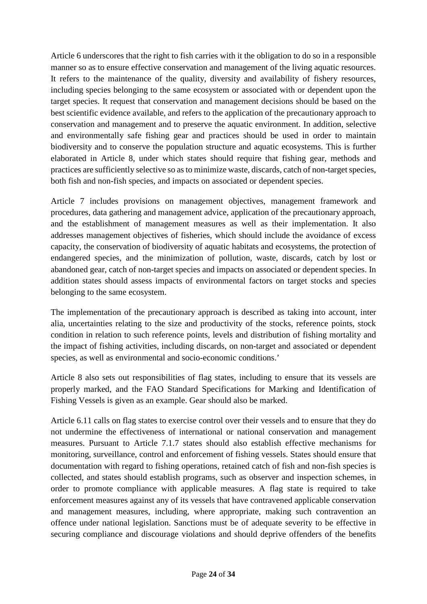Article 6 underscores that the right to fish carries with it the obligation to do so in a responsible manner so as to ensure effective conservation and management of the living aquatic resources. It refers to the maintenance of the quality, diversity and availability of fishery resources, including species belonging to the same ecosystem or associated with or dependent upon the target species. It request that conservation and management decisions should be based on the best scientific evidence available, and refers to the application of the precautionary approach to conservation and management and to preserve the aquatic environment. In addition, selective and environmentally safe fishing gear and practices should be used in order to maintain biodiversity and to conserve the population structure and aquatic ecosystems. This is further elaborated in Article 8, under which states should require that fishing gear, methods and practices are sufficiently selective so as to minimize waste, discards, catch of non-target species, both fish and non-fish species, and impacts on associated or dependent species.

Article 7 includes provisions on management objectives, management framework and procedures, data gathering and management advice, application of the precautionary approach, and the establishment of management measures as well as their implementation. It also addresses management objectives of fisheries, which should include the avoidance of excess capacity, the conservation of biodiversity of aquatic habitats and ecosystems, the protection of endangered species, and the minimization of pollution, waste, discards, catch by lost or abandoned gear, catch of non-target species and impacts on associated or dependent species. In addition states should assess impacts of environmental factors on target stocks and species belonging to the same ecosystem.

The implementation of the precautionary approach is described as taking into account, inter alia, uncertainties relating to the size and productivity of the stocks, reference points, stock condition in relation to such reference points, levels and distribution of fishing mortality and the impact of fishing activities, including discards, on non-target and associated or dependent species, as well as environmental and socio-economic conditions.'

Article 8 also sets out responsibilities of flag states, including to ensure that its vessels are properly marked, and the FAO Standard Specifications for Marking and Identification of Fishing Vessels is given as an example. Gear should also be marked.

Article 6.11 calls on flag states to exercise control over their vessels and to ensure that they do not undermine the effectiveness of international or national conservation and management measures. Pursuant to Article 7.1.7 states should also establish effective mechanisms for monitoring, surveillance, control and enforcement of fishing vessels. States should ensure that documentation with regard to fishing operations, retained catch of fish and non-fish species is collected, and states should establish programs, such as observer and inspection schemes, in order to promote compliance with applicable measures. A flag state is required to take enforcement measures against any of its vessels that have contravened applicable conservation and management measures, including, where appropriate, making such contravention an offence under national legislation. Sanctions must be of adequate severity to be effective in securing compliance and discourage violations and should deprive offenders of the benefits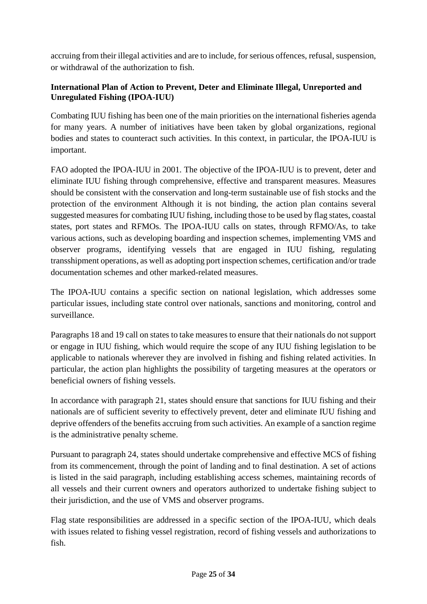accruing from their illegal activities and are to include, for serious offences, refusal, suspension, or withdrawal of the authorization to fish.

# **International Plan of Action to Prevent, Deter and Eliminate Illegal, Unreported and Unregulated Fishing (IPOA-IUU)**

Combating IUU fishing has been one of the main priorities on the international fisheries agenda for many years. A number of initiatives have been taken by global organizations, regional bodies and states to counteract such activities. In this context, in particular, the IPOA-IUU is important.

FAO adopted the IPOA-IUU in 2001. The objective of the IPOA-IUU is to prevent, deter and eliminate IUU fishing through comprehensive, effective and transparent measures. Measures should be consistent with the conservation and long-term sustainable use of fish stocks and the protection of the environment Although it is not binding, the action plan contains several suggested measures for combating IUU fishing, including those to be used by flag states, coastal states, port states and RFMOs. The IPOA-IUU calls on states, through RFMO/As, to take various actions, such as developing boarding and inspection schemes, implementing VMS and observer programs, identifying vessels that are engaged in IUU fishing, regulating transshipment operations, as well as adopting port inspection schemes, certification and/or trade documentation schemes and other marked-related measures.

The IPOA-IUU contains a specific section on national legislation, which addresses some particular issues, including state control over nationals, sanctions and monitoring, control and surveillance.

Paragraphs 18 and 19 call on states to take measures to ensure that their nationals do not support or engage in IUU fishing, which would require the scope of any IUU fishing legislation to be applicable to nationals wherever they are involved in fishing and fishing related activities. In particular, the action plan highlights the possibility of targeting measures at the operators or beneficial owners of fishing vessels.

In accordance with paragraph 21, states should ensure that sanctions for IUU fishing and their nationals are of sufficient severity to effectively prevent, deter and eliminate IUU fishing and deprive offenders of the benefits accruing from such activities. An example of a sanction regime is the administrative penalty scheme.

Pursuant to paragraph 24, states should undertake comprehensive and effective MCS of fishing from its commencement, through the point of landing and to final destination. A set of actions is listed in the said paragraph, including establishing access schemes, maintaining records of all vessels and their current owners and operators authorized to undertake fishing subject to their jurisdiction, and the use of VMS and observer programs.

Flag state responsibilities are addressed in a specific section of the IPOA-IUU, which deals with issues related to fishing vessel registration, record of fishing vessels and authorizations to fish.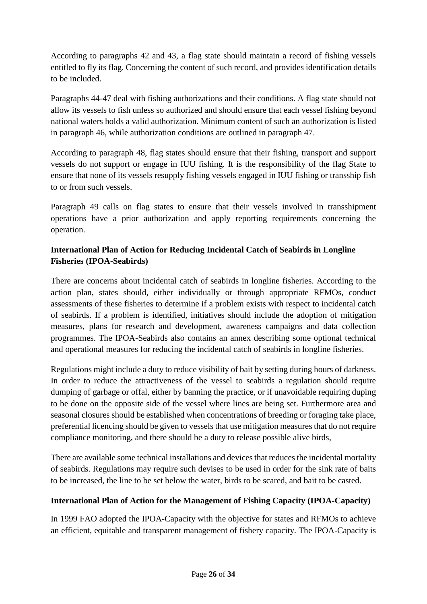According to paragraphs 42 and 43, a flag state should maintain a record of fishing vessels entitled to fly its flag. Concerning the content of such record, and provides identification details to be included.

Paragraphs 44-47 deal with fishing authorizations and their conditions. A flag state should not allow its vessels to fish unless so authorized and should ensure that each vessel fishing beyond national waters holds a valid authorization. Minimum content of such an authorization is listed in paragraph 46, while authorization conditions are outlined in paragraph 47.

According to paragraph 48, flag states should ensure that their fishing, transport and support vessels do not support or engage in IUU fishing. It is the responsibility of the flag State to ensure that none of its vessels resupply fishing vessels engaged in IUU fishing or transship fish to or from such vessels.

Paragraph 49 calls on flag states to ensure that their vessels involved in transshipment operations have a prior authorization and apply reporting requirements concerning the operation.

# **International Plan of Action for Reducing Incidental Catch of Seabirds in Longline Fisheries (IPOA-Seabirds)**

There are concerns about incidental catch of seabirds in longline fisheries. According to the action plan, states should, either individually or through appropriate RFMOs, conduct assessments of these fisheries to determine if a problem exists with respect to incidental catch of seabirds. If a problem is identified, initiatives should include the adoption of mitigation measures, plans for research and development, awareness campaigns and data collection programmes. The IPOA-Seabirds also contains an annex describing some optional technical and operational measures for reducing the incidental catch of seabirds in longline fisheries.

Regulations might include a duty to reduce visibility of bait by setting during hours of darkness. In order to reduce the attractiveness of the vessel to seabirds a regulation should require dumping of garbage or offal, either by banning the practice, or if unavoidable requiring duping to be done on the opposite side of the vessel where lines are being set. Furthermore area and seasonal closures should be established when concentrations of breeding or foraging take place, preferential licencing should be given to vessels that use mitigation measures that do not require compliance monitoring, and there should be a duty to release possible alive birds,

There are available some technical installations and devices that reduces the incidental mortality of seabirds. Regulations may require such devises to be used in order for the sink rate of baits to be increased, the line to be set below the water, birds to be scared, and bait to be casted.

# **International Plan of Action for the Management of Fishing Capacity (IPOA-Capacity)**

In 1999 FAO adopted the IPOA-Capacity with the objective for states and RFMOs to achieve an efficient, equitable and transparent management of fishery capacity. The IPOA-Capacity is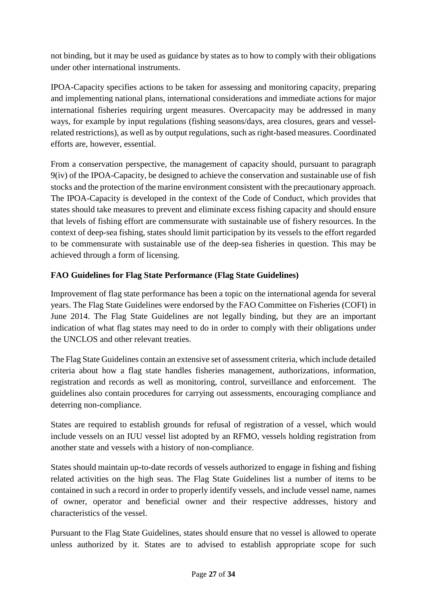not binding, but it may be used as guidance by states as to how to comply with their obligations under other international instruments.

IPOA-Capacity specifies actions to be taken for assessing and monitoring capacity, preparing and implementing national plans, international considerations and immediate actions for major international fisheries requiring urgent measures. Overcapacity may be addressed in many ways, for example by input regulations (fishing seasons/days, area closures, gears and vesselrelated restrictions), as well as by output regulations, such as right-based measures. Coordinated efforts are, however, essential.

From a conservation perspective, the management of capacity should, pursuant to paragraph 9(iv) of the IPOA-Capacity, be designed to achieve the conservation and sustainable use of fish stocks and the protection of the marine environment consistent with the precautionary approach. The IPOA-Capacity is developed in the context of the Code of Conduct, which provides that states should take measures to prevent and eliminate excess fishing capacity and should ensure that levels of fishing effort are commensurate with sustainable use of fishery resources. In the context of deep-sea fishing, states should limit participation by its vessels to the effort regarded to be commensurate with sustainable use of the deep-sea fisheries in question. This may be achieved through a form of licensing.

# **FAO Guidelines for Flag State Performance (Flag State Guidelines)**

Improvement of flag state performance has been a topic on the international agenda for several years. The Flag State Guidelines were endorsed by the FAO Committee on Fisheries (COFI) in June 2014. The Flag State Guidelines are not legally binding, but they are an important indication of what flag states may need to do in order to comply with their obligations under the UNCLOS and other relevant treaties.

The Flag State Guidelines contain an extensive set of assessment criteria, which include detailed criteria about how a flag state handles fisheries management, authorizations, information, registration and records as well as monitoring, control, surveillance and enforcement. The guidelines also contain procedures for carrying out assessments, encouraging compliance and deterring non-compliance.

States are required to establish grounds for refusal of registration of a vessel, which would include vessels on an IUU vessel list adopted by an RFMO, vessels holding registration from another state and vessels with a history of non-compliance.

States should maintain up-to-date records of vessels authorized to engage in fishing and fishing related activities on the high seas. The Flag State Guidelines list a number of items to be contained in such a record in order to properly identify vessels, and include vessel name, names of owner, operator and beneficial owner and their respective addresses, history and characteristics of the vessel.

Pursuant to the Flag State Guidelines, states should ensure that no vessel is allowed to operate unless authorized by it. States are to advised to establish appropriate scope for such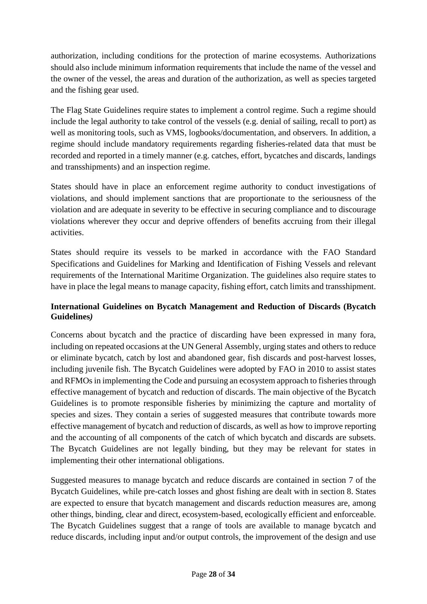authorization, including conditions for the protection of marine ecosystems. Authorizations should also include minimum information requirements that include the name of the vessel and the owner of the vessel, the areas and duration of the authorization, as well as species targeted and the fishing gear used.

The Flag State Guidelines require states to implement a control regime. Such a regime should include the legal authority to take control of the vessels (e.g. denial of sailing, recall to port) as well as monitoring tools, such as VMS, logbooks/documentation, and observers. In addition, a regime should include mandatory requirements regarding fisheries-related data that must be recorded and reported in a timely manner (e.g. catches, effort, bycatches and discards, landings and transshipments) and an inspection regime.

States should have in place an enforcement regime authority to conduct investigations of violations, and should implement sanctions that are proportionate to the seriousness of the violation and are adequate in severity to be effective in securing compliance and to discourage violations wherever they occur and deprive offenders of benefits accruing from their illegal activities.

States should require its vessels to be marked in accordance with the FAO Standard Specifications and Guidelines for Marking and Identification of Fishing Vessels and relevant requirements of the International Maritime Organization. The guidelines also require states to have in place the legal means to manage capacity, fishing effort, catch limits and transshipment.

# **International Guidelines on Bycatch Management and Reduction of Discards (Bycatch Guidelines***)*

Concerns about bycatch and the practice of discarding have been expressed in many fora, including on repeated occasions at the UN General Assembly, urging states and others to reduce or eliminate bycatch, catch by lost and abandoned gear, fish discards and post-harvest losses, including juvenile fish. The Bycatch Guidelines were adopted by FAO in 2010 to assist states and RFMOs in implementing the Code and pursuing an ecosystem approach to fisheries through effective management of bycatch and reduction of discards. The main objective of the Bycatch Guidelines is to promote responsible fisheries by minimizing the capture and mortality of species and sizes. They contain a series of suggested measures that contribute towards more effective management of bycatch and reduction of discards, as well as how to improve reporting and the accounting of all components of the catch of which bycatch and discards are subsets. The Bycatch Guidelines are not legally binding, but they may be relevant for states in implementing their other international obligations.

Suggested measures to manage bycatch and reduce discards are contained in section 7 of the Bycatch Guidelines, while pre-catch losses and ghost fishing are dealt with in section 8. States are expected to ensure that bycatch management and discards reduction measures are, among other things, binding, clear and direct, ecosystem-based, ecologically efficient and enforceable. The Bycatch Guidelines suggest that a range of tools are available to manage bycatch and reduce discards, including input and/or output controls, the improvement of the design and use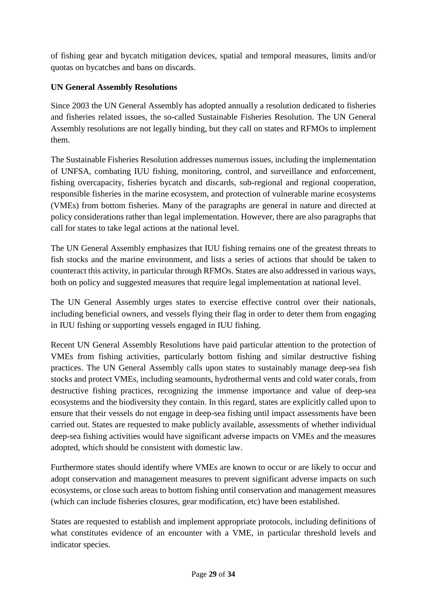of fishing gear and bycatch mitigation devices, spatial and temporal measures, limits and/or quotas on bycatches and bans on discards.

# **UN General Assembly Resolutions**

Since 2003 the UN General Assembly has adopted annually a resolution dedicated to fisheries and fisheries related issues, the so-called Sustainable Fisheries Resolution. The UN General Assembly resolutions are not legally binding, but they call on states and RFMOs to implement them.

The Sustainable Fisheries Resolution addresses numerous issues, including the implementation of UNFSA, combating IUU fishing, monitoring, control, and surveillance and enforcement, fishing overcapacity, fisheries bycatch and discards, sub-regional and regional cooperation, responsible fisheries in the marine ecosystem, and protection of vulnerable marine ecosystems (VMEs) from bottom fisheries. Many of the paragraphs are general in nature and directed at policy considerations rather than legal implementation. However, there are also paragraphs that call for states to take legal actions at the national level.

The UN General Assembly emphasizes that IUU fishing remains one of the greatest threats to fish stocks and the marine environment, and lists a series of actions that should be taken to counteract this activity, in particular through RFMOs. States are also addressed in various ways, both on policy and suggested measures that require legal implementation at national level.

The UN General Assembly urges states to exercise effective control over their nationals, including beneficial owners, and vessels flying their flag in order to deter them from engaging in IUU fishing or supporting vessels engaged in IUU fishing.

Recent UN General Assembly Resolutions have paid particular attention to the protection of VMEs from fishing activities, particularly bottom fishing and similar destructive fishing practices. The UN General Assembly calls upon states to sustainably manage deep-sea fish stocks and protect VMEs, including seamounts, hydrothermal vents and cold water corals, from destructive fishing practices, recognizing the immense importance and value of deep-sea ecosystems and the biodiversity they contain. In this regard, states are explicitly called upon to ensure that their vessels do not engage in deep-sea fishing until impact assessments have been carried out. States are requested to make publicly available, assessments of whether individual deep-sea fishing activities would have significant adverse impacts on VMEs and the measures adopted, which should be consistent with domestic law.

Furthermore states should identify where VMEs are known to occur or are likely to occur and adopt conservation and management measures to prevent significant adverse impacts on such ecosystems, or close such areas to bottom fishing until conservation and management measures (which can include fisheries closures, gear modification, etc) have been established.

States are requested to establish and implement appropriate protocols, including definitions of what constitutes evidence of an encounter with a VME, in particular threshold levels and indicator species.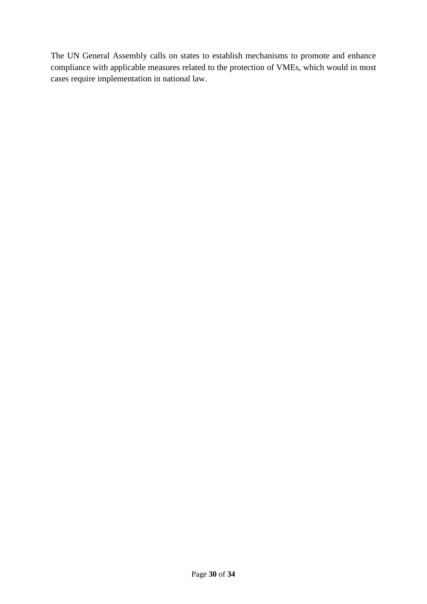The UN General Assembly calls on states to establish mechanisms to promote and enhance compliance with applicable measures related to the protection of VMEs, which would in most cases require implementation in national law.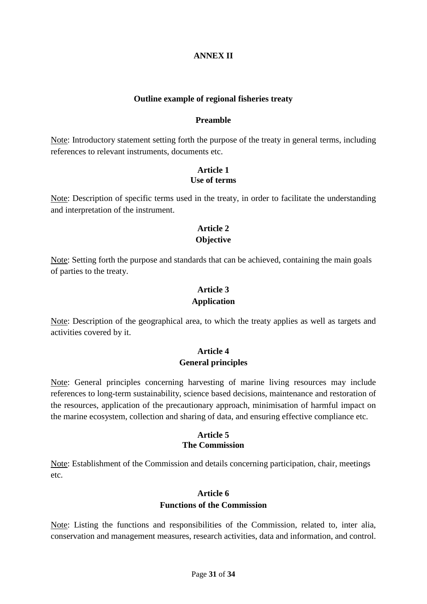# **ANNEX II**

#### **Outline example of regional fisheries treaty**

#### **Preamble**

Note: Introductory statement setting forth the purpose of the treaty in general terms, including references to relevant instruments, documents etc.

### **Article 1 Use of terms**

Note: Description of specific terms used in the treaty, in order to facilitate the understanding and interpretation of the instrument.

# **Article 2 Objective**

Note: Setting forth the purpose and standards that can be achieved, containing the main goals of parties to the treaty.

### **Article 3**

#### **Application**

Note: Description of the geographical area, to which the treaty applies as well as targets and activities covered by it.

# **Article 4 General principles**

Note: General principles concerning harvesting of marine living resources may include references to long-term sustainability, science based decisions, maintenance and restoration of the resources, application of the precautionary approach, minimisation of harmful impact on the marine ecosystem, collection and sharing of data, and ensuring effective compliance etc.

### **Article 5 The Commission**

Note: Establishment of the Commission and details concerning participation, chair, meetings etc.

# **Article 6 Functions of the Commission**

Note: Listing the functions and responsibilities of the Commission, related to, inter alia, conservation and management measures, research activities, data and information, and control.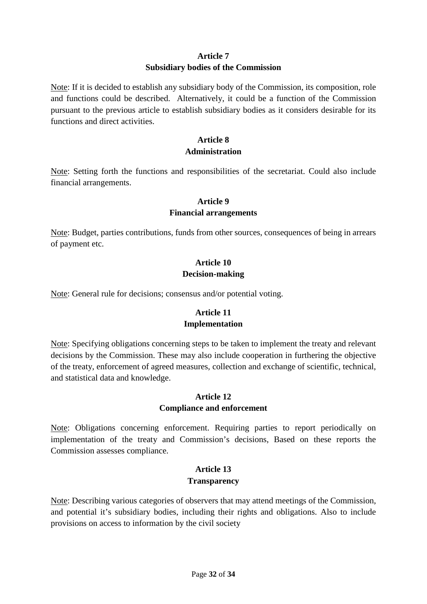# **Article 7 Subsidiary bodies of the Commission**

Note: If it is decided to establish any subsidiary body of the Commission, its composition, role and functions could be described. Alternatively, it could be a function of the Commission pursuant to the previous article to establish subsidiary bodies as it considers desirable for its functions and direct activities.

# **Article 8 Administration**

Note: Setting forth the functions and responsibilities of the secretariat. Could also include financial arrangements.

### **Article 9**

### **Financial arrangements**

Note: Budget, parties contributions, funds from other sources, consequences of being in arrears of payment etc.

# **Article 10 Decision-making**

Note: General rule for decisions; consensus and/or potential voting.

# **Article 11 Implementation**

Note: Specifying obligations concerning steps to be taken to implement the treaty and relevant decisions by the Commission. These may also include cooperation in furthering the objective of the treaty, enforcement of agreed measures, collection and exchange of scientific, technical, and statistical data and knowledge.

# **Article 12 Compliance and enforcement**

Note: Obligations concerning enforcement. Requiring parties to report periodically on implementation of the treaty and Commission's decisions, Based on these reports the Commission assesses compliance.

# **Article 13 Transparency**

Note: Describing various categories of observers that may attend meetings of the Commission, and potential it's subsidiary bodies, including their rights and obligations. Also to include provisions on access to information by the civil society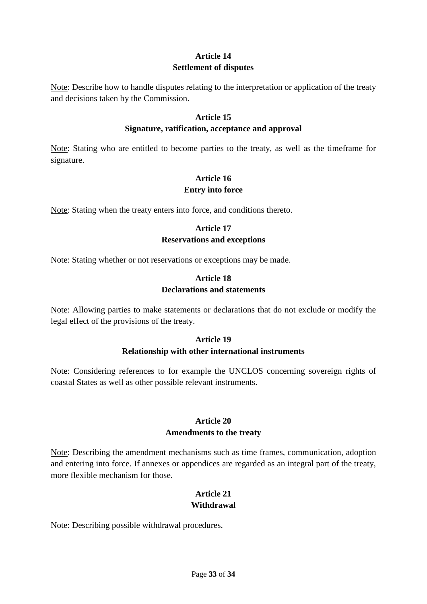# **Article 14 Settlement of disputes**

Note: Describe how to handle disputes relating to the interpretation or application of the treaty and decisions taken by the Commission.

### **Article 15**

### **Signature, ratification, acceptance and approval**

Note: Stating who are entitled to become parties to the treaty, as well as the timeframe for signature.

# **Article 16 Entry into force**

Note: Stating when the treaty enters into force, and conditions thereto.

# **Article 17 Reservations and exceptions**

Note: Stating whether or not reservations or exceptions may be made.

# **Article 18 Declarations and statements**

Note: Allowing parties to make statements or declarations that do not exclude or modify the legal effect of the provisions of the treaty.

# **Article 19 Relationship with other international instruments**

Note: Considering references to for example the UNCLOS concerning sovereign rights of coastal States as well as other possible relevant instruments.

# **Article 20 Amendments to the treaty**

Note: Describing the amendment mechanisms such as time frames, communication, adoption and entering into force. If annexes or appendices are regarded as an integral part of the treaty, more flexible mechanism for those.

# **Article 21 Withdrawal**

Note: Describing possible withdrawal procedures.